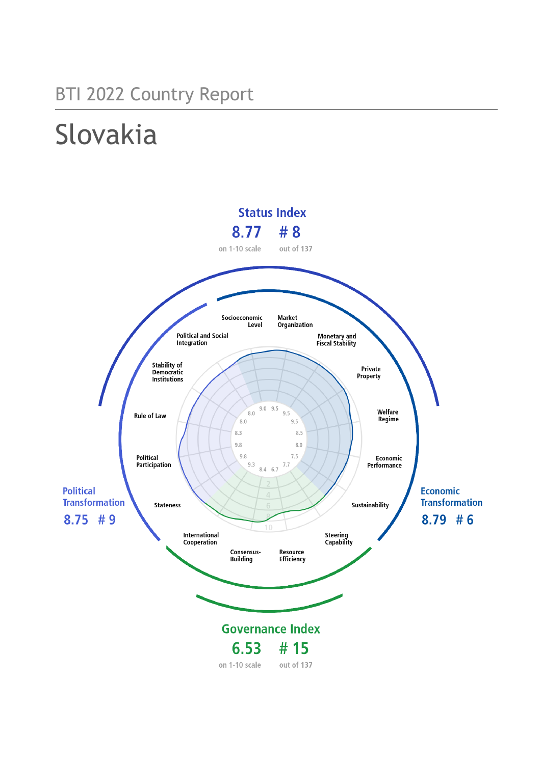## BTI 2022 Country Report

# Slovakia

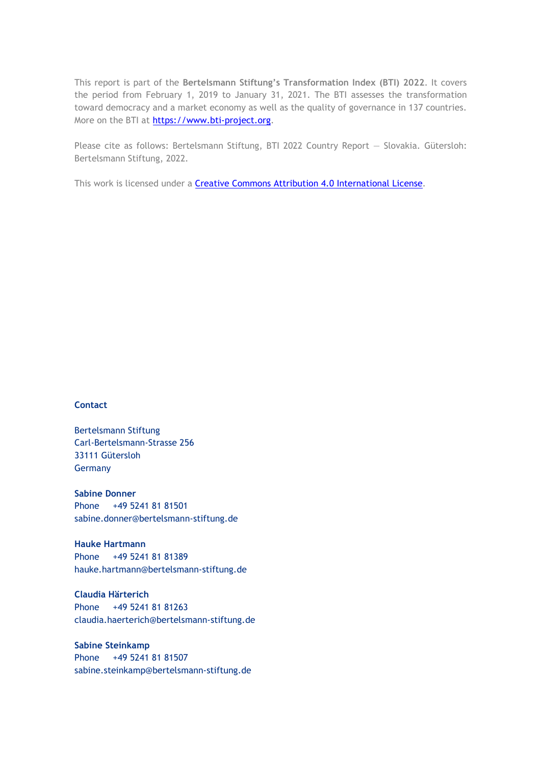This report is part of the **Bertelsmann Stiftung's Transformation Index (BTI) 2022**. It covers the period from February 1, 2019 to January 31, 2021. The BTI assesses the transformation toward democracy and a market economy as well as the quality of governance in 137 countries. More on the BTI at [https://www.bti-project.org.](http://www.bti-project.org/)

Please cite as follows: Bertelsmann Stiftung, BTI 2022 Country Report — Slovakia. Gütersloh: Bertelsmann Stiftung, 2022.

This work is licensed under a **Creative Commons Attribution 4.0 International License**.

#### **Contact**

Bertelsmann Stiftung Carl-Bertelsmann-Strasse 256 33111 Gütersloh Germany

**Sabine Donner** Phone +49 5241 81 81501 sabine.donner@bertelsmann-stiftung.de

**Hauke Hartmann** Phone +49 5241 81 81389 hauke.hartmann@bertelsmann-stiftung.de

**Claudia Härterich** Phone +49 5241 81 81263 claudia.haerterich@bertelsmann-stiftung.de

#### **Sabine Steinkamp** Phone +49 5241 81 81507 sabine.steinkamp@bertelsmann-stiftung.de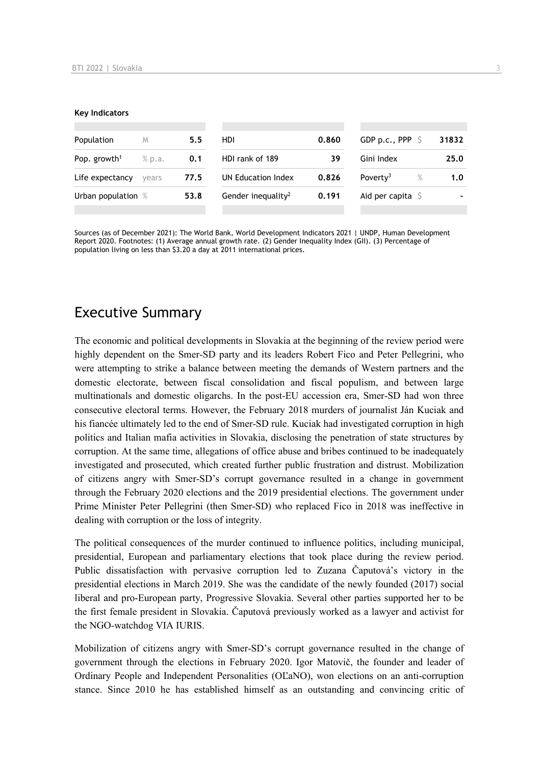#### **Key Indicators**

| Population               | M      | 5.5  | HDI                            | 0.860 | GDP p.c., PPP $\ S$          | 31832 |
|--------------------------|--------|------|--------------------------------|-------|------------------------------|-------|
| Pop. growth <sup>1</sup> | % p.a. | 0.1  | HDI rank of 189                | 39    | Gini Index                   | 25.0  |
| Life expectancy          | vears  | 77.5 | UN Education Index             | 0.826 | Poverty <sup>3</sup><br>$\%$ | 1.0   |
| Urban population %       |        | 53.8 | Gender inequality <sup>2</sup> | 0.191 | Aid per capita $\sqrt{5}$    |       |
|                          |        |      |                                |       |                              |       |

Sources (as of December 2021): The World Bank, World Development Indicators 2021 | UNDP, Human Development Report 2020. Footnotes: (1) Average annual growth rate. (2) Gender Inequality Index (GII). (3) Percentage of population living on less than \$3.20 a day at 2011 international prices.

## Executive Summary

The economic and political developments in Slovakia at the beginning of the review period were highly dependent on the Smer-SD party and its leaders Robert Fico and Peter Pellegrini, who were attempting to strike a balance between meeting the demands of Western partners and the domestic electorate, between fiscal consolidation and fiscal populism, and between large multinationals and domestic oligarchs. In the post-EU accession era, Smer-SD had won three consecutive electoral terms. However, the February 2018 murders of journalist Ján Kuciak and his fiancée ultimately led to the end of Smer-SD rule. Kuciak had investigated corruption in high politics and Italian mafia activities in Slovakia, disclosing the penetration of state structures by corruption. At the same time, allegations of office abuse and bribes continued to be inadequately investigated and prosecuted, which created further public frustration and distrust. Mobilization of citizens angry with Smer-SD's corrupt governance resulted in a change in government through the February 2020 elections and the 2019 presidential elections. The government under Prime Minister Peter Pellegrini (then Smer-SD) who replaced Fico in 2018 was ineffective in dealing with corruption or the loss of integrity.

The political consequences of the murder continued to influence politics, including municipal, presidential, European and parliamentary elections that took place during the review period. Public dissatisfaction with pervasive corruption led to Zuzana Čaputová's victory in the presidential elections in March 2019. She was the candidate of the newly founded (2017) social liberal and pro-European party, Progressive Slovakia. Several other parties supported her to be the first female president in Slovakia. Čaputová previously worked as a lawyer and activist for the NGO-watchdog VIA IURIS.

Mobilization of citizens angry with Smer-SD's corrupt governance resulted in the change of government through the elections in February 2020. Igor Matovič, the founder and leader of Ordinary People and Independent Personalities (OĽaNO), won elections on an anti-corruption stance. Since 2010 he has established himself as an outstanding and convincing critic of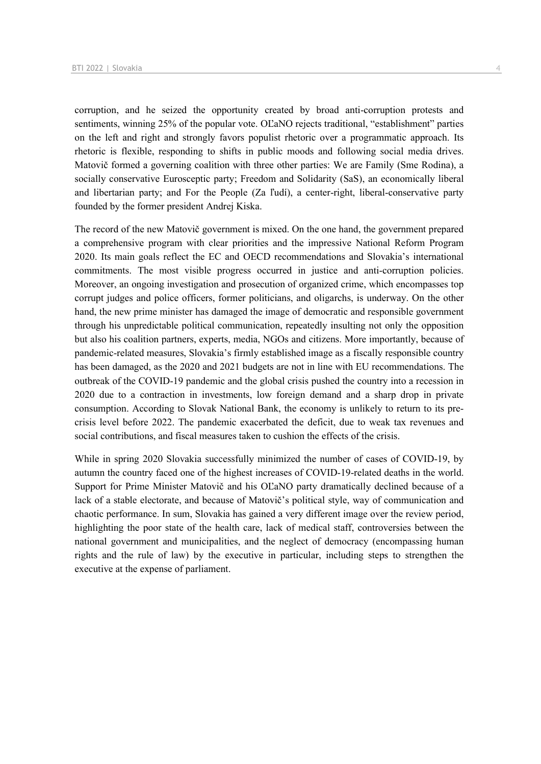corruption, and he seized the opportunity created by broad anti-corruption protests and sentiments, winning 25% of the popular vote. OĽaNO rejects traditional, "establishment" parties on the left and right and strongly favors populist rhetoric over a programmatic approach. Its rhetoric is flexible, responding to shifts in public moods and following social media drives. Matovič formed a governing coalition with three other parties: We are Family (Sme Rodina), a socially conservative Eurosceptic party; Freedom and Solidarity (SaS), an economically liberal and libertarian party; and For the People (Za ľudí), a center-right, liberal-conservative party founded by the former president Andrej Kiska.

The record of the new Matovič government is mixed. On the one hand, the government prepared a comprehensive program with clear priorities and the impressive National Reform Program 2020. Its main goals reflect the EC and OECD recommendations and Slovakia's international commitments. The most visible progress occurred in justice and anti-corruption policies. Moreover, an ongoing investigation and prosecution of organized crime, which encompasses top corrupt judges and police officers, former politicians, and oligarchs, is underway. On the other hand, the new prime minister has damaged the image of democratic and responsible government through his unpredictable political communication, repeatedly insulting not only the opposition but also his coalition partners, experts, media, NGOs and citizens. More importantly, because of pandemic-related measures, Slovakia's firmly established image as a fiscally responsible country has been damaged, as the 2020 and 2021 budgets are not in line with EU recommendations. The outbreak of the COVID-19 pandemic and the global crisis pushed the country into a recession in 2020 due to a contraction in investments, low foreign demand and a sharp drop in private consumption. According to Slovak National Bank, the economy is unlikely to return to its precrisis level before 2022. The pandemic exacerbated the deficit, due to weak tax revenues and social contributions, and fiscal measures taken to cushion the effects of the crisis.

While in spring 2020 Slovakia successfully minimized the number of cases of COVID-19, by autumn the country faced one of the highest increases of COVID-19-related deaths in the world. Support for Prime Minister Matovič and his OĽaNO party dramatically declined because of a lack of a stable electorate, and because of Matovič's political style, way of communication and chaotic performance. In sum, Slovakia has gained a very different image over the review period, highlighting the poor state of the health care, lack of medical staff, controversies between the national government and municipalities, and the neglect of democracy (encompassing human rights and the rule of law) by the executive in particular, including steps to strengthen the executive at the expense of parliament.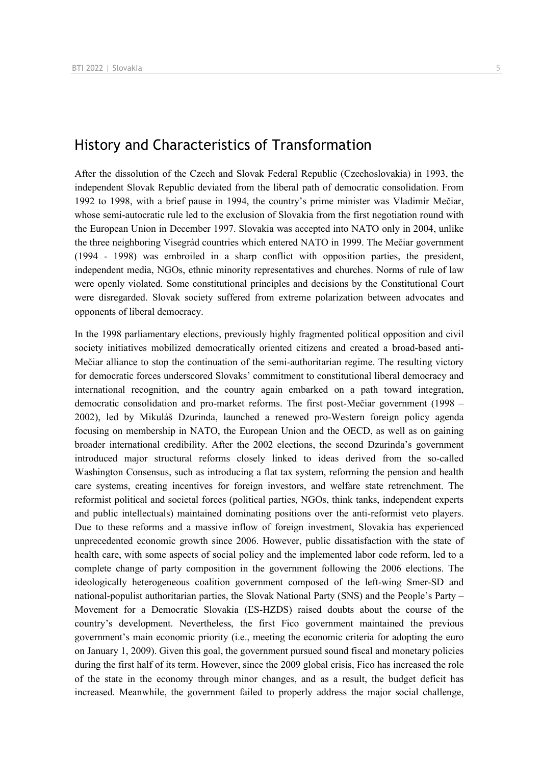## History and Characteristics of Transformation

After the dissolution of the Czech and Slovak Federal Republic (Czechoslovakia) in 1993, the independent Slovak Republic deviated from the liberal path of democratic consolidation. From 1992 to 1998, with a brief pause in 1994, the country's prime minister was Vladimír Mečiar, whose semi-autocratic rule led to the exclusion of Slovakia from the first negotiation round with the European Union in December 1997. Slovakia was accepted into NATO only in 2004, unlike the three neighboring Visegrád countries which entered NATO in 1999. The Mečiar government (1994 - 1998) was embroiled in a sharp conflict with opposition parties, the president, independent media, NGOs, ethnic minority representatives and churches. Norms of rule of law were openly violated. Some constitutional principles and decisions by the Constitutional Court were disregarded. Slovak society suffered from extreme polarization between advocates and opponents of liberal democracy.

In the 1998 parliamentary elections, previously highly fragmented political opposition and civil society initiatives mobilized democratically oriented citizens and created a broad-based anti-Mečiar alliance to stop the continuation of the semi-authoritarian regime. The resulting victory for democratic forces underscored Slovaks' commitment to constitutional liberal democracy and international recognition, and the country again embarked on a path toward integration, democratic consolidation and pro-market reforms. The first post-Mečiar government (1998 – 2002), led by Mikuláš Dzurinda, launched a renewed pro-Western foreign policy agenda focusing on membership in NATO, the European Union and the OECD, as well as on gaining broader international credibility. After the 2002 elections, the second Dzurinda's government introduced major structural reforms closely linked to ideas derived from the so-called Washington Consensus, such as introducing a flat tax system, reforming the pension and health care systems, creating incentives for foreign investors, and welfare state retrenchment. The reformist political and societal forces (political parties, NGOs, think tanks, independent experts and public intellectuals) maintained dominating positions over the anti-reformist veto players. Due to these reforms and a massive inflow of foreign investment, Slovakia has experienced unprecedented economic growth since 2006. However, public dissatisfaction with the state of health care, with some aspects of social policy and the implemented labor code reform, led to a complete change of party composition in the government following the 2006 elections. The ideologically heterogeneous coalition government composed of the left-wing Smer-SD and national-populist authoritarian parties, the Slovak National Party (SNS) and the People's Party – Movement for a Democratic Slovakia (ĽS-HZDS) raised doubts about the course of the country's development. Nevertheless, the first Fico government maintained the previous government's main economic priority (i.e., meeting the economic criteria for adopting the euro on January 1, 2009). Given this goal, the government pursued sound fiscal and monetary policies during the first half of its term. However, since the 2009 global crisis, Fico has increased the role of the state in the economy through minor changes, and as a result, the budget deficit has increased. Meanwhile, the government failed to properly address the major social challenge,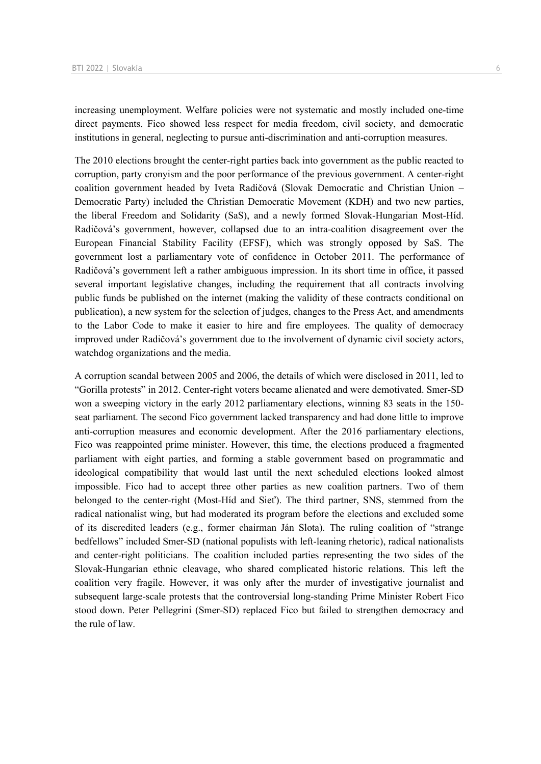increasing unemployment. Welfare policies were not systematic and mostly included one-time direct payments. Fico showed less respect for media freedom, civil society, and democratic institutions in general, neglecting to pursue anti-discrimination and anti-corruption measures.

The 2010 elections brought the center-right parties back into government as the public reacted to corruption, party cronyism and the poor performance of the previous government. A center-right coalition government headed by Iveta Radičová (Slovak Democratic and Christian Union – Democratic Party) included the Christian Democratic Movement (KDH) and two new parties, the liberal Freedom and Solidarity (SaS), and a newly formed Slovak-Hungarian Most-Híd. Radičová's government, however, collapsed due to an intra-coalition disagreement over the European Financial Stability Facility (EFSF), which was strongly opposed by SaS. The government lost a parliamentary vote of confidence in October 2011. The performance of Radičová's government left a rather ambiguous impression. In its short time in office, it passed several important legislative changes, including the requirement that all contracts involving public funds be published on the internet (making the validity of these contracts conditional on publication), a new system for the selection of judges, changes to the Press Act, and amendments to the Labor Code to make it easier to hire and fire employees. The quality of democracy improved under Radičová's government due to the involvement of dynamic civil society actors, watchdog organizations and the media.

A corruption scandal between 2005 and 2006, the details of which were disclosed in 2011, led to "Gorilla protests" in 2012. Center-right voters became alienated and were demotivated. Smer-SD won a sweeping victory in the early 2012 parliamentary elections, winning 83 seats in the 150 seat parliament. The second Fico government lacked transparency and had done little to improve anti-corruption measures and economic development. After the 2016 parliamentary elections, Fico was reappointed prime minister. However, this time, the elections produced a fragmented parliament with eight parties, and forming a stable government based on programmatic and ideological compatibility that would last until the next scheduled elections looked almost impossible. Fico had to accept three other parties as new coalition partners. Two of them belonged to the center-right (Most-Híd and Sieť). The third partner, SNS, stemmed from the radical nationalist wing, but had moderated its program before the elections and excluded some of its discredited leaders (e.g., former chairman Ján Slota). The ruling coalition of "strange bedfellows" included Smer-SD (national populists with left-leaning rhetoric), radical nationalists and center-right politicians. The coalition included parties representing the two sides of the Slovak-Hungarian ethnic cleavage, who shared complicated historic relations. This left the coalition very fragile. However, it was only after the murder of investigative journalist and subsequent large-scale protests that the controversial long-standing Prime Minister Robert Fico stood down. Peter Pellegrini (Smer-SD) replaced Fico but failed to strengthen democracy and the rule of law.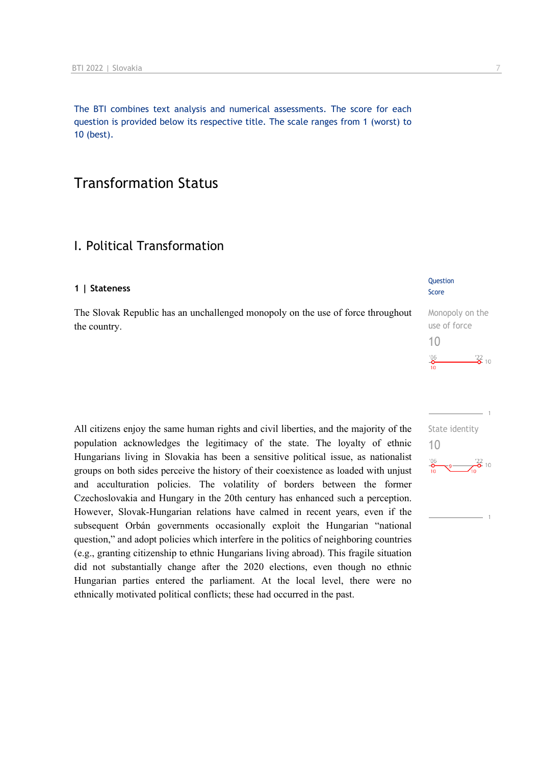The BTI combines text analysis and numerical assessments. The score for each question is provided below its respective title. The scale ranges from 1 (worst) to 10 (best).

## Transformation Status

## I. Political Transformation

#### **1 | Stateness**

The Slovak Republic has an unchallenged monopoly on the use of force throughout the country.

All citizens enjoy the same human rights and civil liberties, and the majority of the population acknowledges the legitimacy of the state. The loyalty of ethnic Hungarians living in Slovakia has been a sensitive political issue, as nationalist groups on both sides perceive the history of their coexistence as loaded with unjust and acculturation policies. The volatility of borders between the former Czechoslovakia and Hungary in the 20th century has enhanced such a perception. However, Slovak-Hungarian relations have calmed in recent years, even if the subsequent Orbán governments occasionally exploit the Hungarian "national question," and adopt policies which interfere in the politics of neighboring countries (e.g., granting citizenship to ethnic Hungarians living abroad). This fragile situation did not substantially change after the 2020 elections, even though no ethnic Hungarian parties entered the parliament. At the local level, there were no ethnically motivated political conflicts; these had occurred in the past.

#### **Question** Score

Monopoly on the use of force 10  $\frac{22}{2}$  10  $^{206}$ 

 $-22$  10

 $\frac{106}{10}$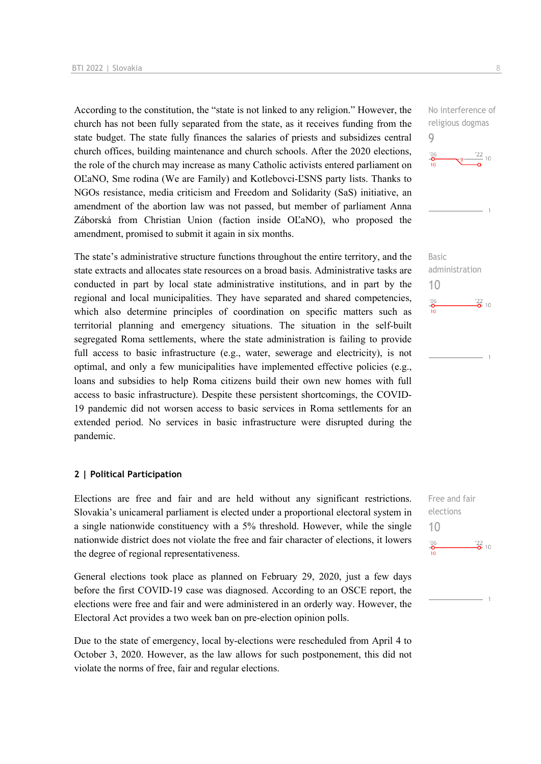According to the constitution, the "state is not linked to any religion." However, the church has not been fully separated from the state, as it receives funding from the state budget. The state fully finances the salaries of priests and subsidizes central church offices, building maintenance and church schools. After the 2020 elections, the role of the church may increase as many Catholic activists entered parliament on OĽaNO, Sme rodina (We are Family) and Kotlebovci-ĽSNS party lists. Thanks to NGOs resistance, media criticism and Freedom and Solidarity (SaS) initiative, an amendment of the abortion law was not passed, but member of parliament Anna Záborská from Christian Union (faction inside OĽaNO), who proposed the amendment, promised to submit it again in six months.

The state's administrative structure functions throughout the entire territory, and the state extracts and allocates state resources on a broad basis. Administrative tasks are conducted in part by local state administrative institutions, and in part by the regional and local municipalities. They have separated and shared competencies, which also determine principles of coordination on specific matters such as territorial planning and emergency situations. The situation in the self-built segregated Roma settlements, where the state administration is failing to provide full access to basic infrastructure (e.g., water, sewerage and electricity), is not optimal, and only a few municipalities have implemented effective policies (e.g., loans and subsidies to help Roma citizens build their own new homes with full access to basic infrastructure). Despite these persistent shortcomings, the COVID-19 pandemic did not worsen access to basic services in Roma settlements for an extended period. No services in basic infrastructure were disrupted during the pandemic.

#### **2 | Political Participation**

Elections are free and fair and are held without any significant restrictions. Slovakia's unicameral parliament is elected under a proportional electoral system in a single nationwide constituency with a 5% threshold. However, while the single nationwide district does not violate the free and fair character of elections, it lowers the degree of regional representativeness.

General elections took place as planned on February 29, 2020, just a few days before the first COVID-19 case was diagnosed. According to an OSCE report, the elections were free and fair and were administered in an orderly way. However, the Electoral Act provides a two week ban on pre-election opinion polls.

Due to the state of emergency, local by-elections were rescheduled from April 4 to October 3, 2020. However, as the law allows for such postponement, this did not violate the norms of free, fair and regular elections.

No interference of religious dogmas 9



Basic administration 10  $\frac{106}{10}$  $\frac{22}{2}$  10

Free and fair elections 10 $^{106}_{-0}$  $\frac{22}{2}$  10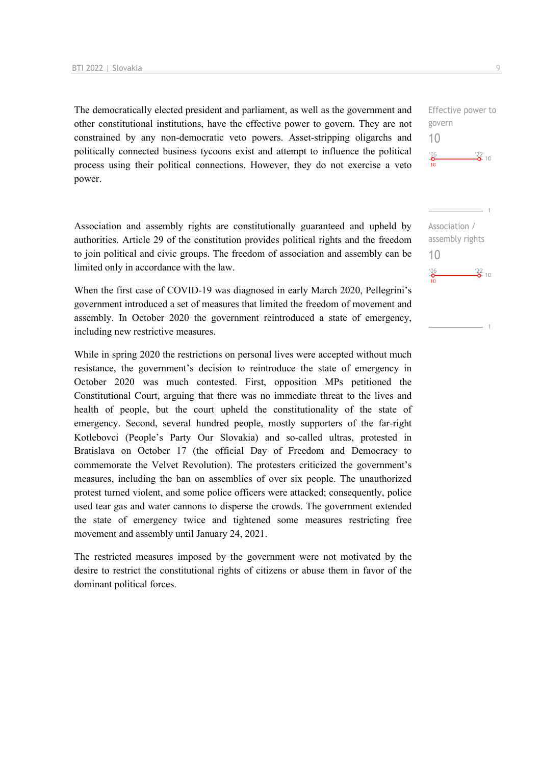The democratically elected president and parliament, as well as the government and other constitutional institutions, have the effective power to govern. They are not constrained by any non-democratic veto powers. Asset-stripping oligarchs and politically connected business tycoons exist and attempt to influence the political process using their political connections. However, they do not exercise a veto power.

Association and assembly rights are constitutionally guaranteed and upheld by authorities. Article 29 of the constitution provides political rights and the freedom to join political and civic groups. The freedom of association and assembly can be limited only in accordance with the law.

When the first case of COVID-19 was diagnosed in early March 2020, Pellegrini's government introduced a set of measures that limited the freedom of movement and assembly. In October 2020 the government reintroduced a state of emergency, including new restrictive measures.

While in spring 2020 the restrictions on personal lives were accepted without much resistance, the government's decision to reintroduce the state of emergency in October 2020 was much contested. First, opposition MPs petitioned the Constitutional Court, arguing that there was no immediate threat to the lives and health of people, but the court upheld the constitutionality of the state of emergency. Second, several hundred people, mostly supporters of the far-right Kotlebovci (People's Party Our Slovakia) and so-called ultras, protested in Bratislava on October 17 (the official Day of Freedom and Democracy to commemorate the Velvet Revolution). The protesters criticized the government's measures, including the ban on assemblies of over six people. The unauthorized protest turned violent, and some police officers were attacked; consequently, police used tear gas and water cannons to disperse the crowds. The government extended the state of emergency twice and tightened some measures restricting free movement and assembly until January 24, 2021.

The restricted measures imposed by the government were not motivated by the desire to restrict the constitutional rights of citizens or abuse them in favor of the dominant political forces.

Effective power to govern 10  $\frac{106}{10}$  $\frac{22}{2}$  10

Association / assembly rights 10 $^{106}_{-0}$  $\frac{22}{2}$  10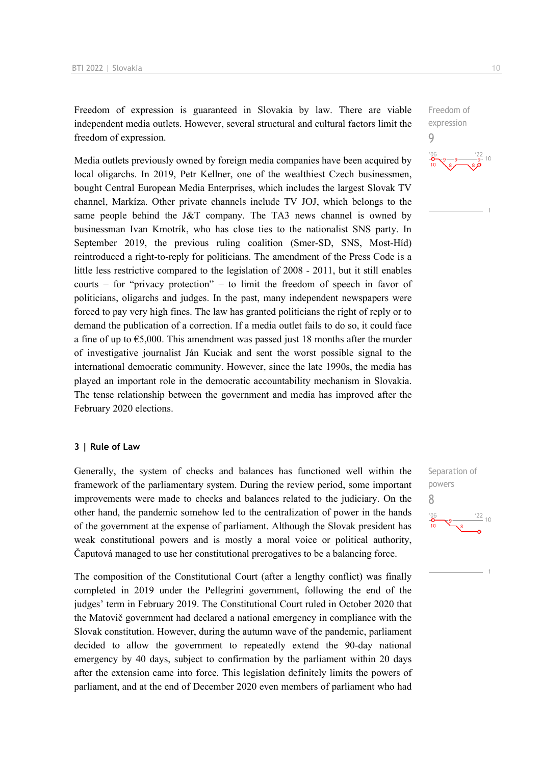Freedom of expression is guaranteed in Slovakia by law. There are viable independent media outlets. However, several structural and cultural factors limit the freedom of expression.

Media outlets previously owned by foreign media companies have been acquired by local oligarchs. In 2019, Petr Kellner, one of the wealthiest Czech businessmen, bought Central European Media Enterprises, which includes the largest Slovak TV channel, Markíza. Other private channels include TV JOJ, which belongs to the same people behind the J&T company. The TA3 news channel is owned by businessman Ivan Kmotrík, who has close ties to the nationalist SNS party. In September 2019, the previous ruling coalition (Smer-SD, SNS, Most-Híd) reintroduced a right-to-reply for politicians. The amendment of the Press Code is a little less restrictive compared to the legislation of 2008 - 2011, but it still enables courts – for "privacy protection" – to limit the freedom of speech in favor of politicians, oligarchs and judges. In the past, many independent newspapers were forced to pay very high fines. The law has granted politicians the right of reply or to demand the publication of a correction. If a media outlet fails to do so, it could face a fine of up to  $\epsilon$ 5,000. This amendment was passed just 18 months after the murder of investigative journalist Ján Kuciak and sent the worst possible signal to the international democratic community. However, since the late 1990s, the media has played an important role in the democratic accountability mechanism in Slovakia. The tense relationship between the government and media has improved after the February 2020 elections.

#### **3 | Rule of Law**

Generally, the system of checks and balances has functioned well within the framework of the parliamentary system. During the review period, some important improvements were made to checks and balances related to the judiciary. On the other hand, the pandemic somehow led to the centralization of power in the hands of the government at the expense of parliament. Although the Slovak president has weak constitutional powers and is mostly a moral voice or political authority, Čaputová managed to use her constitutional prerogatives to be a balancing force.

The composition of the Constitutional Court (after a lengthy conflict) was finally completed in 2019 under the Pellegrini government, following the end of the judges' term in February 2019. The Constitutional Court ruled in October 2020 that the Matovič government had declared a national emergency in compliance with the Slovak constitution. However, during the autumn wave of the pandemic, parliament decided to allow the government to repeatedly extend the 90-day national emergency by 40 days, subject to confirmation by the parliament within 20 days after the extension came into force. This legislation definitely limits the powers of parliament, and at the end of December 2020 even members of parliament who had Separation of powers 8

9

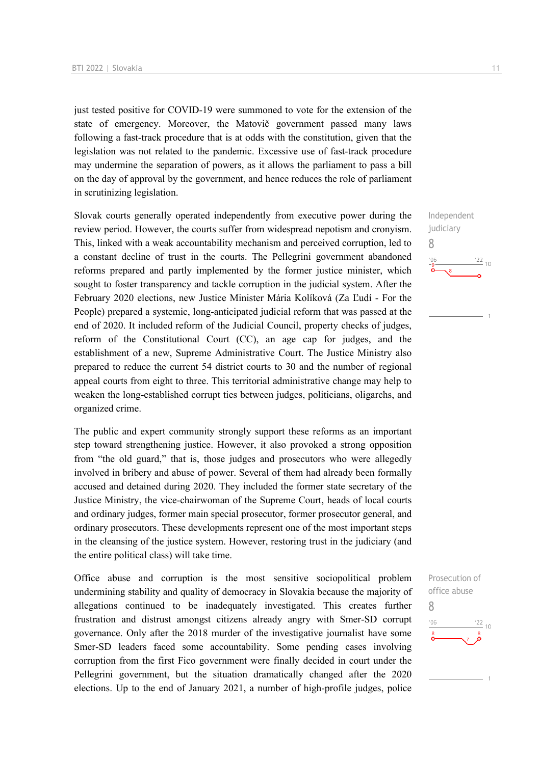just tested positive for COVID-19 were summoned to vote for the extension of the state of emergency. Moreover, the Matovič government passed many laws following a fast-track procedure that is at odds with the constitution, given that the legislation was not related to the pandemic. Excessive use of fast-track procedure may undermine the separation of powers, as it allows the parliament to pass a bill on the day of approval by the government, and hence reduces the role of parliament in scrutinizing legislation.

Slovak courts generally operated independently from executive power during the review period. However, the courts suffer from widespread nepotism and cronyism. This, linked with a weak accountability mechanism and perceived corruption, led to a constant decline of trust in the courts. The Pellegrini government abandoned reforms prepared and partly implemented by the former justice minister, which sought to foster transparency and tackle corruption in the judicial system. After the February 2020 elections, new Justice Minister Mária Kolíková (Za Ľudí - For the People) prepared a systemic, long-anticipated judicial reform that was passed at the end of 2020. It included reform of the Judicial Council, property checks of judges, reform of the Constitutional Court (CC), an age cap for judges, and the establishment of a new, Supreme Administrative Court. The Justice Ministry also prepared to reduce the current 54 district courts to 30 and the number of regional appeal courts from eight to three. This territorial administrative change may help to weaken the long-established corrupt ties between judges, politicians, oligarchs, and organized crime.

The public and expert community strongly support these reforms as an important step toward strengthening justice. However, it also provoked a strong opposition from "the old guard," that is, those judges and prosecutors who were allegedly involved in bribery and abuse of power. Several of them had already been formally accused and detained during 2020. They included the former state secretary of the Justice Ministry, the vice-chairwoman of the Supreme Court, heads of local courts and ordinary judges, former main special prosecutor, former prosecutor general, and ordinary prosecutors. These developments represent one of the most important steps in the cleansing of the justice system. However, restoring trust in the judiciary (and the entire political class) will take time.

Office abuse and corruption is the most sensitive sociopolitical problem undermining stability and quality of democracy in Slovakia because the majority of allegations continued to be inadequately investigated. This creates further frustration and distrust amongst citizens already angry with Smer-SD corrupt governance. Only after the 2018 murder of the investigative journalist have some Smer-SD leaders faced some accountability. Some pending cases involving corruption from the first Fico government were finally decided in court under the Pellegrini government, but the situation dramatically changed after the 2020 elections. Up to the end of January 2021, a number of high-profile judges, police

Independent judiciary 8  $\frac{22}{10}$  $'06$ 

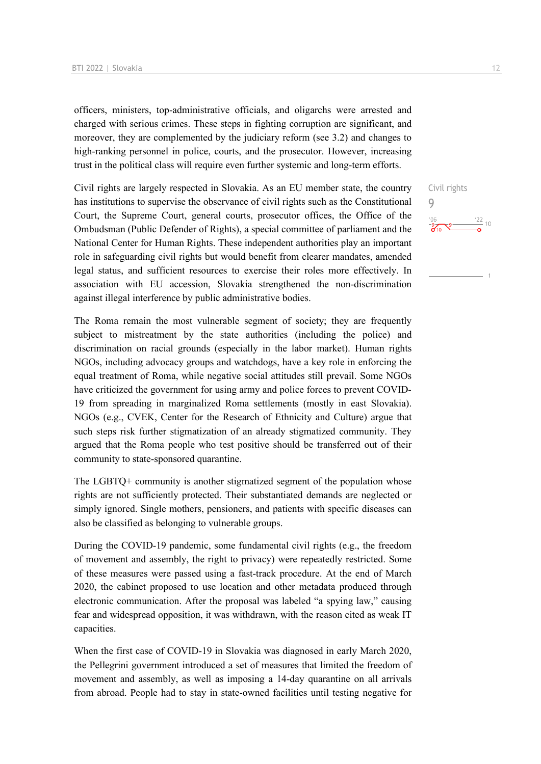officers, ministers, top-administrative officials, and oligarchs were arrested and charged with serious crimes. These steps in fighting corruption are significant, and moreover, they are complemented by the judiciary reform (see 3.2) and changes to high-ranking personnel in police, courts, and the prosecutor. However, increasing trust in the political class will require even further systemic and long-term efforts.

Civil rights are largely respected in Slovakia. As an EU member state, the country has institutions to supervise the observance of civil rights such as the Constitutional Court, the Supreme Court, general courts, prosecutor offices, the Office of the Ombudsman (Public Defender of Rights), a special committee of parliament and the National Center for Human Rights. These independent authorities play an important role in safeguarding civil rights but would benefit from clearer mandates, amended legal status, and sufficient resources to exercise their roles more effectively. In association with EU accession, Slovakia strengthened the non-discrimination against illegal interference by public administrative bodies.

The Roma remain the most vulnerable segment of society; they are frequently subject to mistreatment by the state authorities (including the police) and discrimination on racial grounds (especially in the labor market). Human rights NGOs, including advocacy groups and watchdogs, have a key role in enforcing the equal treatment of Roma, while negative social attitudes still prevail. Some NGOs have criticized the government for using army and police forces to prevent COVID-19 from spreading in marginalized Roma settlements (mostly in east Slovakia). NGOs (e.g., CVEK, Center for the Research of Ethnicity and Culture) argue that such steps risk further stigmatization of an already stigmatized community. They argued that the Roma people who test positive should be transferred out of their community to state-sponsored quarantine.

The LGBTQ+ community is another stigmatized segment of the population whose rights are not sufficiently protected. Their substantiated demands are neglected or simply ignored. Single mothers, pensioners, and patients with specific diseases can also be classified as belonging to vulnerable groups.

During the COVID-19 pandemic, some fundamental civil rights (e.g., the freedom of movement and assembly, the right to privacy) were repeatedly restricted. Some of these measures were passed using a fast-track procedure. At the end of March 2020, the cabinet proposed to use location and other metadata produced through electronic communication. After the proposal was labeled "a spying law," causing fear and widespread opposition, it was withdrawn, with the reason cited as weak IT capacities.

When the first case of COVID-19 in Slovakia was diagnosed in early March 2020, the Pellegrini government introduced a set of measures that limited the freedom of movement and assembly, as well as imposing a 14-day quarantine on all arrivals from abroad. People had to stay in state-owned facilities until testing negative for

Civil rights

 $\frac{122}{10}$ 

 $\overline{Q}$ 

 $\frac{106}{26}$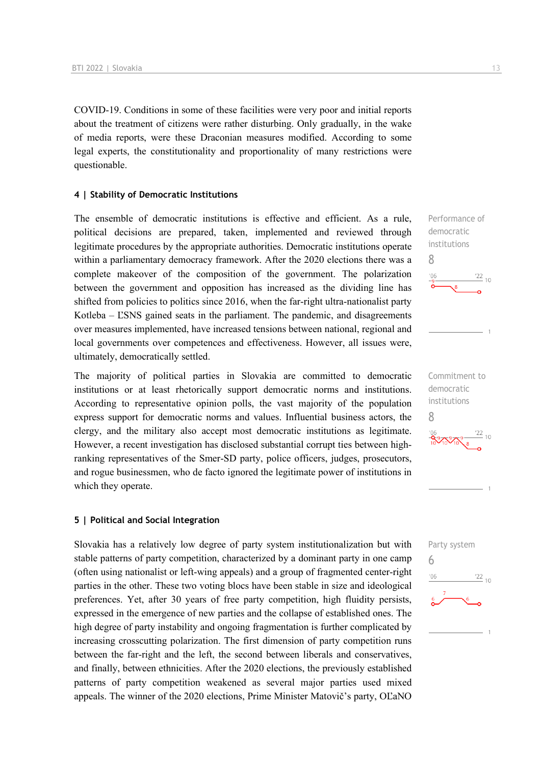COVID-19. Conditions in some of these facilities were very poor and initial reports about the treatment of citizens were rather disturbing. Only gradually, in the wake of media reports, were these Draconian measures modified. According to some legal experts, the constitutionality and proportionality of many restrictions were questionable.

#### **4 | Stability of Democratic Institutions**

The ensemble of democratic institutions is effective and efficient. As a rule, political decisions are prepared, taken, implemented and reviewed through legitimate procedures by the appropriate authorities. Democratic institutions operate within a parliamentary democracy framework. After the 2020 elections there was a complete makeover of the composition of the government. The polarization between the government and opposition has increased as the dividing line has shifted from policies to politics since 2016, when the far-right ultra-nationalist party Kotleba – L'SNS gained seats in the parliament. The pandemic, and disagreements over measures implemented, have increased tensions between national, regional and local governments over competences and effectiveness. However, all issues were, ultimately, democratically settled.

The majority of political parties in Slovakia are committed to democratic institutions or at least rhetorically support democratic norms and institutions. According to representative opinion polls, the vast majority of the population express support for democratic norms and values. Influential business actors, the clergy, and the military also accept most democratic institutions as legitimate. However, a recent investigation has disclosed substantial corrupt ties between highranking representatives of the Smer-SD party, police officers, judges, prosecutors, and rogue businessmen, who de facto ignored the legitimate power of institutions in which they operate.

#### **5 | Political and Social Integration**

Slovakia has a relatively low degree of party system institutionalization but with stable patterns of party competition, characterized by a dominant party in one camp (often using nationalist or left-wing appeals) and a group of fragmented center-right parties in the other. These two voting blocs have been stable in size and ideological preferences. Yet, after 30 years of free party competition, high fluidity persists, expressed in the emergence of new parties and the collapse of established ones. The high degree of party instability and ongoing fragmentation is further complicated by increasing crosscutting polarization. The first dimension of party competition runs between the far-right and the left, the second between liberals and conservatives, and finally, between ethnicities. After the 2020 elections, the previously established patterns of party competition weakened as several major parties used mixed appeals. The winner of the 2020 elections, Prime Minister Matovič's party, OĽaNO

 $\frac{22}{10}$ 

8



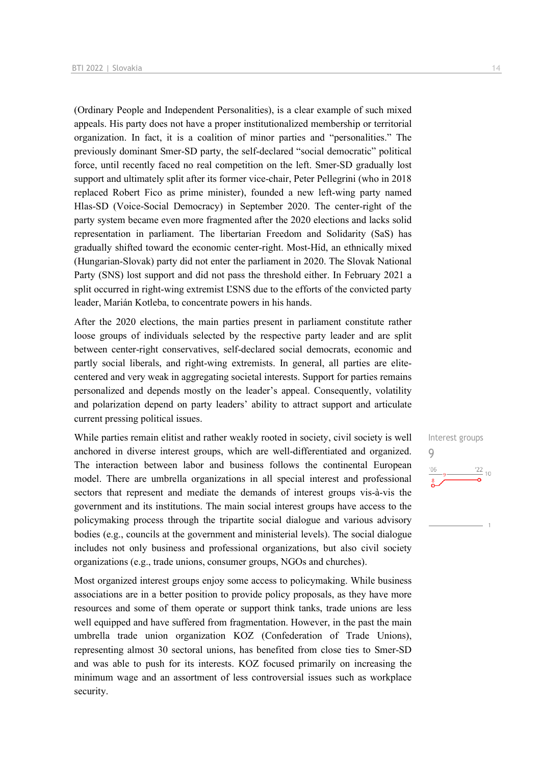(Ordinary People and Independent Personalities), is a clear example of such mixed appeals. His party does not have a proper institutionalized membership or territorial organization. In fact, it is a coalition of minor parties and "personalities." The previously dominant Smer-SD party, the self-declared "social democratic" political force, until recently faced no real competition on the left. Smer-SD gradually lost support and ultimately split after its former vice-chair, Peter Pellegrini (who in 2018 replaced Robert Fico as prime minister), founded a new left-wing party named Hlas-SD (Voice-Social Democracy) in September 2020. The center-right of the party system became even more fragmented after the 2020 elections and lacks solid representation in parliament. The libertarian Freedom and Solidarity (SaS) has gradually shifted toward the economic center-right. Most-Híd, an ethnically mixed (Hungarian-Slovak) party did not enter the parliament in 2020. The Slovak National Party (SNS) lost support and did not pass the threshold either. In February 2021 a split occurred in right-wing extremist ĽSNS due to the efforts of the convicted party leader, Marián Kotleba, to concentrate powers in his hands.

After the 2020 elections, the main parties present in parliament constitute rather loose groups of individuals selected by the respective party leader and are split between center-right conservatives, self-declared social democrats, economic and partly social liberals, and right-wing extremists. In general, all parties are elitecentered and very weak in aggregating societal interests. Support for parties remains personalized and depends mostly on the leader's appeal. Consequently, volatility and polarization depend on party leaders' ability to attract support and articulate current pressing political issues.

While parties remain elitist and rather weakly rooted in society, civil society is well anchored in diverse interest groups, which are well-differentiated and organized. The interaction between labor and business follows the continental European model. There are umbrella organizations in all special interest and professional sectors that represent and mediate the demands of interest groups vis-à-vis the government and its institutions. The main social interest groups have access to the policymaking process through the tripartite social dialogue and various advisory bodies (e.g., councils at the government and ministerial levels). The social dialogue includes not only business and professional organizations, but also civil society organizations (e.g., trade unions, consumer groups, NGOs and churches).

Most organized interest groups enjoy some access to policymaking. While business associations are in a better position to provide policy proposals, as they have more resources and some of them operate or support think tanks, trade unions are less well equipped and have suffered from fragmentation. However, in the past the main umbrella trade union organization KOZ (Confederation of Trade Unions), representing almost 30 sectoral unions, has benefited from close ties to Smer-SD and was able to push for its interests. KOZ focused primarily on increasing the minimum wage and an assortment of less controversial issues such as workplace security.

Interest groups 9 $\frac{22}{10}$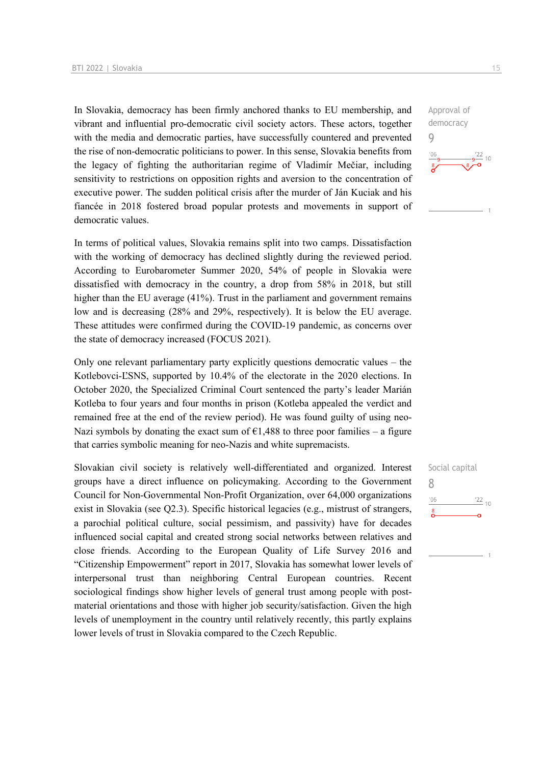In Slovakia, democracy has been firmly anchored thanks to EU membership, and vibrant and influential pro-democratic civil society actors. These actors, together with the media and democratic parties, have successfully countered and prevented the rise of non-democratic politicians to power. In this sense, Slovakia benefits from the legacy of fighting the authoritarian regime of Vladimír Mečiar, including sensitivity to restrictions on opposition rights and aversion to the concentration of executive power. The sudden political crisis after the murder of Ján Kuciak and his fiancée in 2018 fostered broad popular protests and movements in support of democratic values.

In terms of political values, Slovakia remains split into two camps. Dissatisfaction with the working of democracy has declined slightly during the reviewed period. According to Eurobarometer Summer 2020, 54% of people in Slovakia were dissatisfied with democracy in the country, a drop from 58% in 2018, but still higher than the EU average (41%). Trust in the parliament and government remains low and is decreasing (28% and 29%, respectively). It is below the EU average. These attitudes were confirmed during the COVID-19 pandemic, as concerns over the state of democracy increased (FOCUS 2021).

Only one relevant parliamentary party explicitly questions democratic values – the Kotlebovci-ĽSNS, supported by 10.4% of the electorate in the 2020 elections. In October 2020, the Specialized Criminal Court sentenced the party's leader Marián Kotleba to four years and four months in prison (Kotleba appealed the verdict and remained free at the end of the review period). He was found guilty of using neo-Nazi symbols by donating the exact sum of  $E1,488$  to three poor families – a figure that carries symbolic meaning for neo-Nazis and white supremacists.

Slovakian civil society is relatively well-differentiated and organized. Interest groups have a direct influence on policymaking. According to the Government Council for Non-Governmental Non-Profit Organization, over 64,000 organizations exist in Slovakia (see Q2.3). Specific historical legacies (e.g., mistrust of strangers, a parochial political culture, social pessimism, and passivity) have for decades influenced social capital and created strong social networks between relatives and close friends. According to the European Quality of Life Survey 2016 and "Citizenship Empowerment" report in 2017, Slovakia has somewhat lower levels of interpersonal trust than neighboring Central European countries. Recent sociological findings show higher levels of general trust among people with postmaterial orientations and those with higher job security/satisfaction. Given the high levels of unemployment in the country until relatively recently, this partly explains lower levels of trust in Slovakia compared to the Czech Republic.

Approval of democracy 9

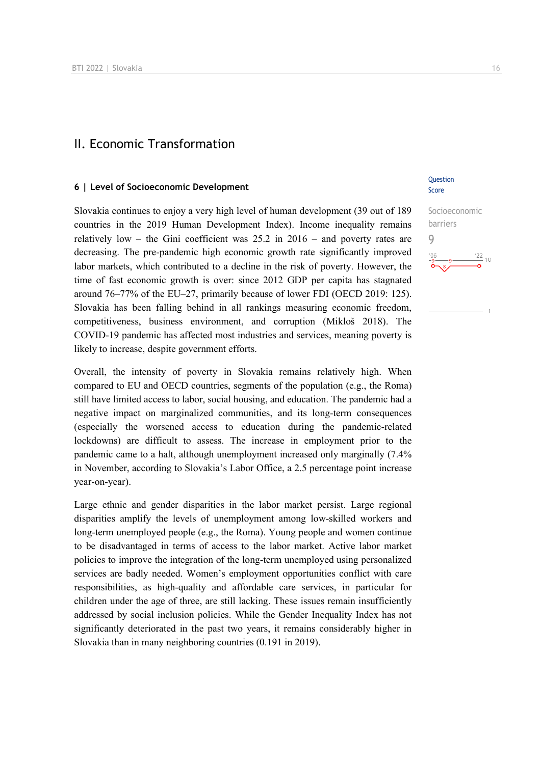## II. Economic Transformation

#### **6 | Level of Socioeconomic Development**

Slovakia continues to enjoy a very high level of human development (39 out of 189 countries in the 2019 Human Development Index). Income inequality remains relatively low – the Gini coefficient was  $25.2$  in  $2016$  – and poverty rates are decreasing. The pre-pandemic high economic growth rate significantly improved labor markets, which contributed to a decline in the risk of poverty. However, the time of fast economic growth is over: since 2012 GDP per capita has stagnated around 76–77% of the EU–27, primarily because of lower FDI (OECD 2019: 125). Slovakia has been falling behind in all rankings measuring economic freedom, competitiveness, business environment, and corruption (Mikloš 2018). The COVID-19 pandemic has affected most industries and services, meaning poverty is likely to increase, despite government efforts.

Overall, the intensity of poverty in Slovakia remains relatively high. When compared to EU and OECD countries, segments of the population (e.g., the Roma) still have limited access to labor, social housing, and education. The pandemic had a negative impact on marginalized communities, and its long-term consequences (especially the worsened access to education during the pandemic-related lockdowns) are difficult to assess. The increase in employment prior to the pandemic came to a halt, although unemployment increased only marginally (7.4% in November, according to Slovakia's Labor Office, a 2.5 percentage point increase year-on-year).

Large ethnic and gender disparities in the labor market persist. Large regional disparities amplify the levels of unemployment among low-skilled workers and long-term unemployed people (e.g., the Roma). Young people and women continue to be disadvantaged in terms of access to the labor market. Active labor market policies to improve the integration of the long-term unemployed using personalized services are badly needed. Women's employment opportunities conflict with care responsibilities, as high-quality and affordable care services, in particular for children under the age of three, are still lacking. These issues remain insufficiently addressed by social inclusion policies. While the Gender Inequality Index has not significantly deteriorated in the past two years, it remains considerably higher in Slovakia than in many neighboring countries (0.191 in 2019).

#### **Ouestion** Score

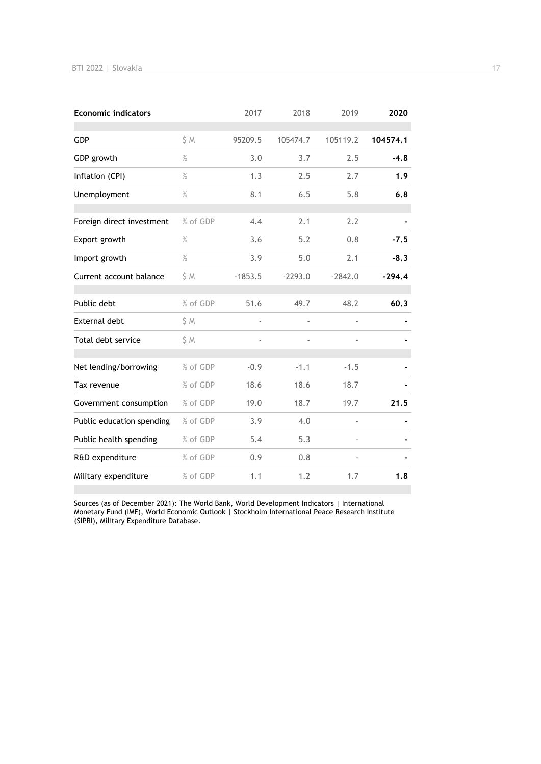| <b>Economic indicators</b> |          | 2017                     | 2018      | 2019          | 2020     |
|----------------------------|----------|--------------------------|-----------|---------------|----------|
| <b>GDP</b>                 | S M      | 95209.5                  | 105474.7  | 105119.2      | 104574.1 |
| GDP growth                 | $\%$     | 3.0                      | 3.7       | 2.5           | $-4.8$   |
| Inflation (CPI)            | $\%$     | 1.3                      | 2.5       | 2.7           | 1.9      |
| Unemployment               | $\%$     | 8.1                      | 6.5       | 5.8           | 6.8      |
| Foreign direct investment  | % of GDP | 4.4                      | 2.1       | 2.2           |          |
| Export growth              | $\%$     | 3.6                      | 5.2       | 0.8           | $-7.5$   |
| Import growth              | $\%$     | 3.9                      | 5.0       | 2.1           | $-8.3$   |
| Current account balance    | \$ M     | $-1853.5$                | $-2293.0$ | $-2842.0$     | $-294.4$ |
| Public debt                | % of GDP | 51.6                     | 49.7      | 48.2          | 60.3     |
| <b>External debt</b>       | \$ M     | $\overline{\phantom{a}}$ |           | ä,            |          |
| Total debt service         | S M      | ÷,                       |           |               |          |
| Net lending/borrowing      | % of GDP | $-0.9$                   | $-1.1$    | $-1.5$        |          |
| Tax revenue                | % of GDP | 18.6                     | 18.6      | 18.7          |          |
| Government consumption     | % of GDP | 19.0                     | 18.7      | 19.7          | 21.5     |
| Public education spending  | % of GDP | 3.9                      | 4.0       | $\frac{1}{2}$ |          |
| Public health spending     | % of GDP | 5.4                      | 5.3       |               |          |
| R&D expenditure            | % of GDP | 0.9                      | 0.8       |               |          |
| Military expenditure       | % of GDP | 1.1                      | 1.2       | 1.7           | 1.8      |

Sources (as of December 2021): The World Bank, World Development Indicators | International Monetary Fund (IMF), World Economic Outlook | Stockholm International Peace Research Institute (SIPRI), Military Expenditure Database.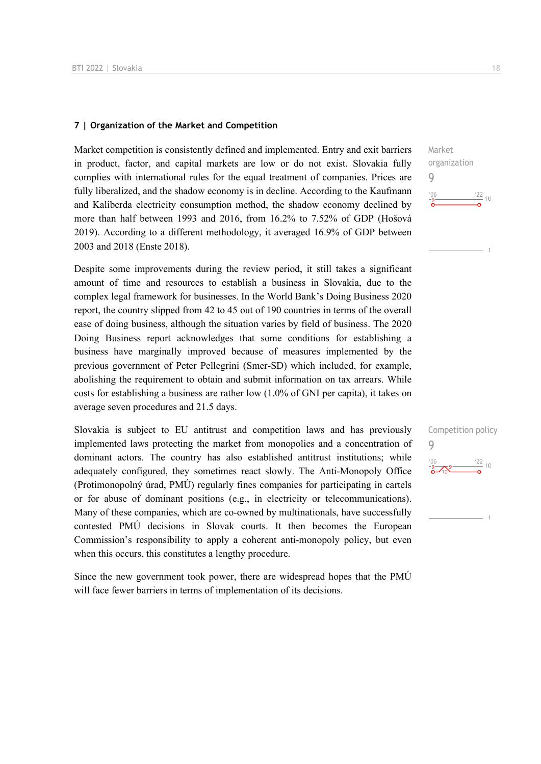#### **7 | Organization of the Market and Competition**

Market competition is consistently defined and implemented. Entry and exit barriers in product, factor, and capital markets are low or do not exist. Slovakia fully complies with international rules for the equal treatment of companies. Prices are fully liberalized, and the shadow economy is in decline. According to the Kaufmann and Kaliberda electricity consumption method, the shadow economy declined by more than half between 1993 and 2016, from 16.2% to 7.52% of GDP (Hošová 2019). According to a different methodology, it averaged 16.9% of GDP between 2003 and 2018 (Enste 2018).

Despite some improvements during the review period, it still takes a significant amount of time and resources to establish a business in Slovakia, due to the complex legal framework for businesses. In the World Bank's Doing Business 2020 report, the country slipped from 42 to 45 out of 190 countries in terms of the overall ease of doing business, although the situation varies by field of business. The 2020 Doing Business report acknowledges that some conditions for establishing a business have marginally improved because of measures implemented by the previous government of Peter Pellegrini (Smer-SD) which included, for example, abolishing the requirement to obtain and submit information on tax arrears. While costs for establishing a business are rather low (1.0% of GNI per capita), it takes on average seven procedures and 21.5 days.

Slovakia is subject to EU antitrust and competition laws and has previously implemented laws protecting the market from monopolies and a concentration of dominant actors. The country has also established antitrust institutions; while adequately configured, they sometimes react slowly. The Anti-Monopoly Office (Protimonopolný úrad, PMÚ) regularly fines companies for participating in cartels or for abuse of dominant positions (e.g., in electricity or telecommunications). Many of these companies, which are co-owned by multinationals, have successfully contested PMÚ decisions in Slovak courts. It then becomes the European Commission's responsibility to apply a coherent anti-monopoly policy, but even when this occurs, this constitutes a lengthy procedure.

Since the new government took power, there are widespread hopes that the PMÚ will face fewer barriers in terms of implementation of its decisions.



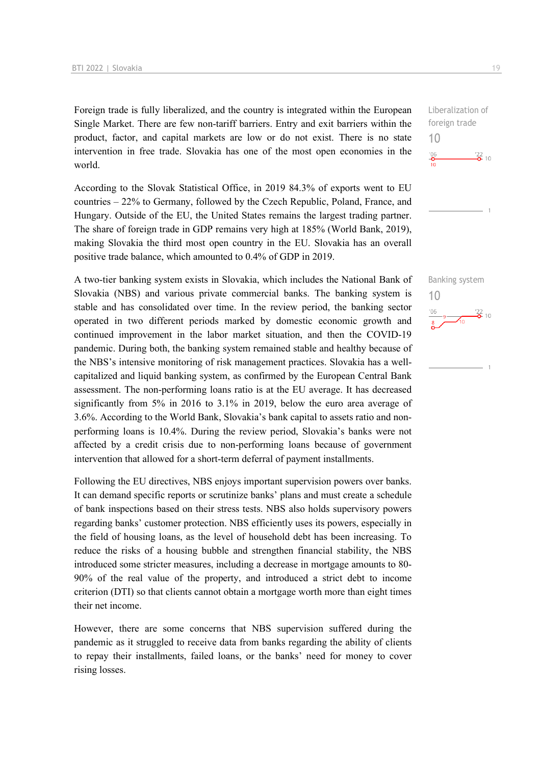Foreign trade is fully liberalized, and the country is integrated within the European Single Market. There are few non-tariff barriers. Entry and exit barriers within the product, factor, and capital markets are low or do not exist. There is no state intervention in free trade. Slovakia has one of the most open economies in the world.

According to the Slovak Statistical Office, in 2019 84.3% of exports went to EU countries – 22% to Germany, followed by the Czech Republic, Poland, France, and Hungary. Outside of the EU, the United States remains the largest trading partner. The share of foreign trade in GDP remains very high at 185% (World Bank, 2019), making Slovakia the third most open country in the EU. Slovakia has an overall positive trade balance, which amounted to 0.4% of GDP in 2019.

A two-tier banking system exists in Slovakia, which includes the National Bank of Slovakia (NBS) and various private commercial banks. The banking system is stable and has consolidated over time. In the review period, the banking sector operated in two different periods marked by domestic economic growth and continued improvement in the labor market situation, and then the COVID-19 pandemic. During both, the banking system remained stable and healthy because of the NBS's intensive monitoring of risk management practices. Slovakia has a wellcapitalized and liquid banking system, as confirmed by the European Central Bank assessment. The non-performing loans ratio is at the EU average. It has decreased significantly from 5% in 2016 to 3.1% in 2019, below the euro area average of 3.6%. According to the World Bank, Slovakia's bank capital to assets ratio and nonperforming loans is 10.4%. During the review period, Slovakia's banks were not affected by a credit crisis due to non-performing loans because of government intervention that allowed for a short-term deferral of payment installments.

Following the EU directives, NBS enjoys important supervision powers over banks. It can demand specific reports or scrutinize banks' plans and must create a schedule of bank inspections based on their stress tests. NBS also holds supervisory powers regarding banks' customer protection. NBS efficiently uses its powers, especially in the field of housing loans, as the level of household debt has been increasing. To reduce the risks of a housing bubble and strengthen financial stability, the NBS introduced some stricter measures, including a decrease in mortgage amounts to 80- 90% of the real value of the property, and introduced a strict debt to income criterion (DTI) so that clients cannot obtain a mortgage worth more than eight times their net income.

However, there are some concerns that NBS supervision suffered during the pandemic as it struggled to receive data from banks regarding the ability of clients to repay their installments, failed loans, or the banks' need for money to cover rising losses.



10

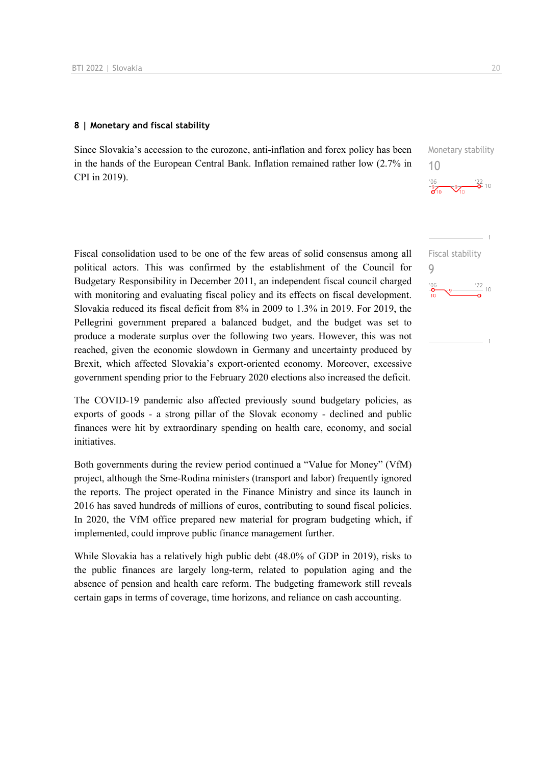#### **8 | Monetary and fiscal stability**

Since Slovakia's accession to the eurozone, anti-inflation and forex policy has been in the hands of the European Central Bank. Inflation remained rather low (2.7% in CPI in 2019).

Fiscal consolidation used to be one of the few areas of solid consensus among all political actors. This was confirmed by the establishment of the Council for Budgetary Responsibility in December 2011, an independent fiscal council charged with monitoring and evaluating fiscal policy and its effects on fiscal development. Slovakia reduced its fiscal deficit from 8% in 2009 to 1.3% in 2019. For 2019, the Pellegrini government prepared a balanced budget, and the budget was set to produce a moderate surplus over the following two years. However, this was not reached, given the economic slowdown in Germany and uncertainty produced by Brexit, which affected Slovakia's export-oriented economy. Moreover, excessive government spending prior to the February 2020 elections also increased the deficit.

The COVID-19 pandemic also affected previously sound budgetary policies, as exports of goods - a strong pillar of the Slovak economy - declined and public finances were hit by extraordinary spending on health care, economy, and social initiatives.

Both governments during the review period continued a "Value for Money" (VfM) project, although the Sme-Rodina ministers (transport and labor) frequently ignored the reports. The project operated in the Finance Ministry and since its launch in 2016 has saved hundreds of millions of euros, contributing to sound fiscal policies. In 2020, the VfM office prepared new material for program budgeting which, if implemented, could improve public finance management further.

While Slovakia has a relatively high public debt (48.0% of GDP in 2019), risks to the public finances are largely long-term, related to population aging and the absence of pension and health care reform. The budgeting framework still reveals certain gaps in terms of coverage, time horizons, and reliance on cash accounting.

Monetary stability 10



Fiscal stability 9 $\frac{22}{10}$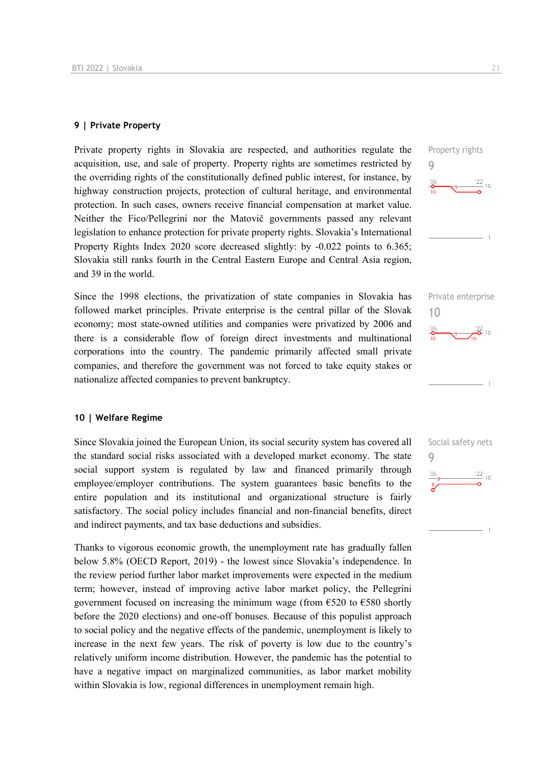#### **9 | Private Property**

Private property rights in Slovakia are respected, and authorities regulate the acquisition, use, and sale of property. Property rights are sometimes restricted by the overriding rights of the constitutionally defined public interest, for instance, by highway construction projects, protection of cultural heritage, and environmental protection. In such cases, owners receive financial compensation at market value. Neither the Fico/Pellegrini nor the Matovič governments passed any relevant legislation to enhance protection for private property rights. Slovakia's International Property Rights Index 2020 score decreased slightly: by -0.022 points to 6.365; Slovakia still ranks fourth in the Central Eastern Europe and Central Asia region, and 39 in the world.

Since the 1998 elections, the privatization of state companies in Slovakia has followed market principles. Private enterprise is the central pillar of the Slovak economy; most state-owned utilities and companies were privatized by 2006 and there is a considerable flow of foreign direct investments and multinational corporations into the country. The pandemic primarily affected small private companies, and therefore the government was not forced to take equity stakes or nationalize affected companies to prevent bankruptcy.

#### **10 | Welfare Regime**

Since Slovakia joined the European Union, its social security system has covered all the standard social risks associated with a developed market economy. The state social support system is regulated by law and financed primarily through employee/employer contributions. The system guarantees basic benefits to the entire population and its institutional and organizational structure is fairly satisfactory. The social policy includes financial and non-financial benefits, direct and indirect payments, and tax base deductions and subsidies.

Thanks to vigorous economic growth, the unemployment rate has gradually fallen below 5.8% (OECD Report, 2019) - the lowest since Slovakia's independence. In the review period further labor market improvements were expected in the medium term; however, instead of improving active labor market policy, the Pellegrini government focused on increasing the minimum wage (from  $\epsilon$ 520 to  $\epsilon$ 580 shortly before the 2020 elections) and one-off bonuses. Because of this populist approach to social policy and the negative effects of the pandemic, unemployment is likely to increase in the next few years. The risk of poverty is low due to the country's relatively uniform income distribution. However, the pandemic has the potential to have a negative impact on marginalized communities, as labor market mobility within Slovakia is low, regional differences in unemployment remain high.





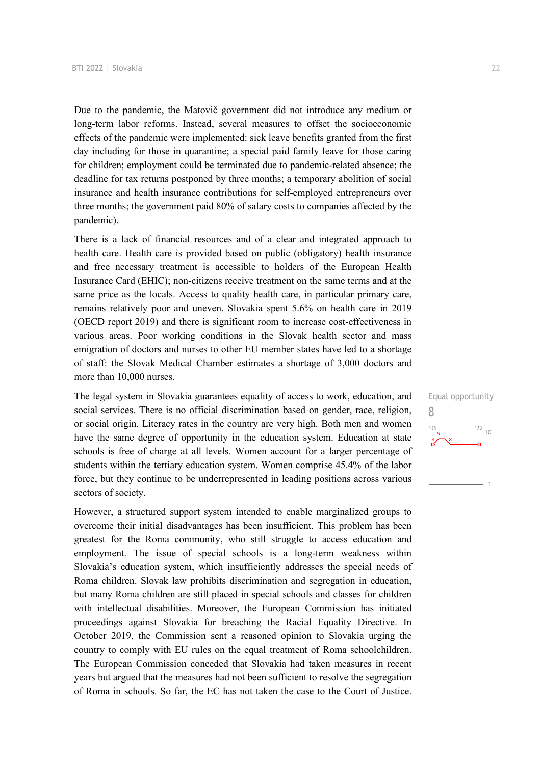Due to the pandemic, the Matovič government did not introduce any medium or long-term labor reforms. Instead, several measures to offset the socioeconomic effects of the pandemic were implemented: sick leave benefits granted from the first day including for those in quarantine; a special paid family leave for those caring for children; employment could be terminated due to pandemic-related absence; the deadline for tax returns postponed by three months; a temporary abolition of social insurance and health insurance contributions for self-employed entrepreneurs over three months; the government paid 80% of salary costs to companies affected by the pandemic).

There is a lack of financial resources and of a clear and integrated approach to health care. Health care is provided based on public (obligatory) health insurance and free necessary treatment is accessible to holders of the European Health Insurance Card (EHIC); non-citizens receive treatment on the same terms and at the same price as the locals. Access to quality health care, in particular primary care, remains relatively poor and uneven. Slovakia spent 5.6% on health care in 2019 (OECD report 2019) and there is significant room to increase cost-effectiveness in various areas. Poor working conditions in the Slovak health sector and mass emigration of doctors and nurses to other EU member states have led to a shortage of staff: the Slovak Medical Chamber estimates a shortage of 3,000 doctors and more than 10,000 nurses.

The legal system in Slovakia guarantees equality of access to work, education, and social services. There is no official discrimination based on gender, race, religion, or social origin. Literacy rates in the country are very high. Both men and women have the same degree of opportunity in the education system. Education at state schools is free of charge at all levels. Women account for a larger percentage of students within the tertiary education system. Women comprise 45.4% of the labor force, but they continue to be underrepresented in leading positions across various sectors of society.

However, a structured support system intended to enable marginalized groups to overcome their initial disadvantages has been insufficient. This problem has been greatest for the Roma community, who still struggle to access education and employment. The issue of special schools is a long-term weakness within Slovakia's education system, which insufficiently addresses the special needs of Roma children. Slovak law prohibits discrimination and segregation in education, but many Roma children are still placed in special schools and classes for children with intellectual disabilities. Moreover, the European Commission has initiated proceedings against Slovakia for breaching the Racial Equality Directive. In October 2019, the Commission sent a reasoned opinion to Slovakia urging the country to comply with EU rules on the equal treatment of Roma schoolchildren. The European Commission conceded that Slovakia had taken measures in recent years but argued that the measures had not been sufficient to resolve the segregation of Roma in schools. So far, the EC has not taken the case to the Court of Justice.

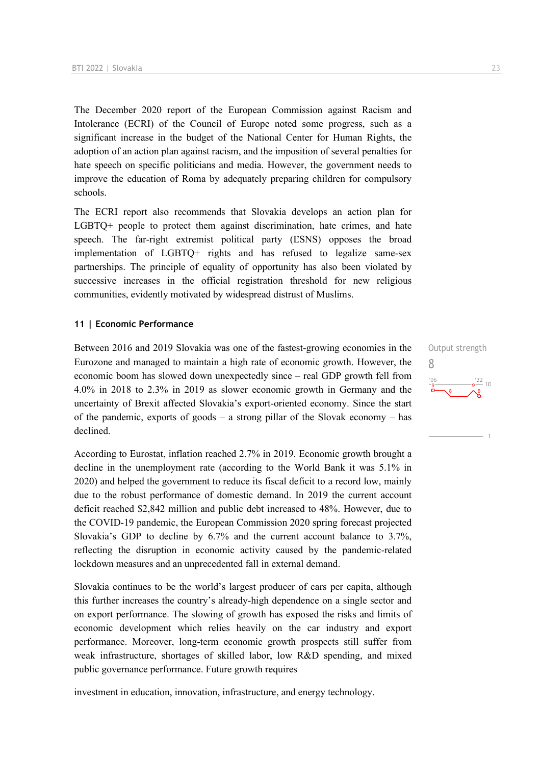The December 2020 report of the European Commission against Racism and Intolerance (ECRI) of the Council of Europe noted some progress, such as a significant increase in the budget of the National Center for Human Rights, the adoption of an action plan against racism, and the imposition of several penalties for hate speech on specific politicians and media. However, the government needs to improve the education of Roma by adequately preparing children for compulsory schools.

The ECRI report also recommends that Slovakia develops an action plan for LGBTQ+ people to protect them against discrimination, hate crimes, and hate speech. The far-right extremist political party (ĽSNS) opposes the broad implementation of LGBTQ+ rights and has refused to legalize same-sex partnerships. The principle of equality of opportunity has also been violated by successive increases in the official registration threshold for new religious communities, evidently motivated by widespread distrust of Muslims.

#### **11 | Economic Performance**

Between 2016 and 2019 Slovakia was one of the fastest-growing economies in the Eurozone and managed to maintain a high rate of economic growth. However, the economic boom has slowed down unexpectedly since – real GDP growth fell from 4.0% in 2018 to 2.3% in 2019 as slower economic growth in Germany and the uncertainty of Brexit affected Slovakia's export-oriented economy. Since the start of the pandemic, exports of goods – a strong pillar of the Slovak economy – has declined.

According to Eurostat, inflation reached 2.7% in 2019. Economic growth brought a decline in the unemployment rate (according to the World Bank it was 5.1% in 2020) and helped the government to reduce its fiscal deficit to a record low, mainly due to the robust performance of domestic demand. In 2019 the current account deficit reached \$2,842 million and public debt increased to 48%. However, due to the COVID-19 pandemic, the European Commission 2020 spring forecast projected Slovakia's GDP to decline by 6.7% and the current account balance to 3.7%, reflecting the disruption in economic activity caused by the pandemic-related lockdown measures and an unprecedented fall in external demand.

Slovakia continues to be the world's largest producer of cars per capita, although this further increases the country's already-high dependence on a single sector and on export performance. The slowing of growth has exposed the risks and limits of economic development which relies heavily on the car industry and export performance. Moreover, long-term economic growth prospects still suffer from weak infrastructure, shortages of skilled labor, low R&D spending, and mixed public governance performance. Future growth requires

investment in education, innovation, infrastructure, and energy technology.

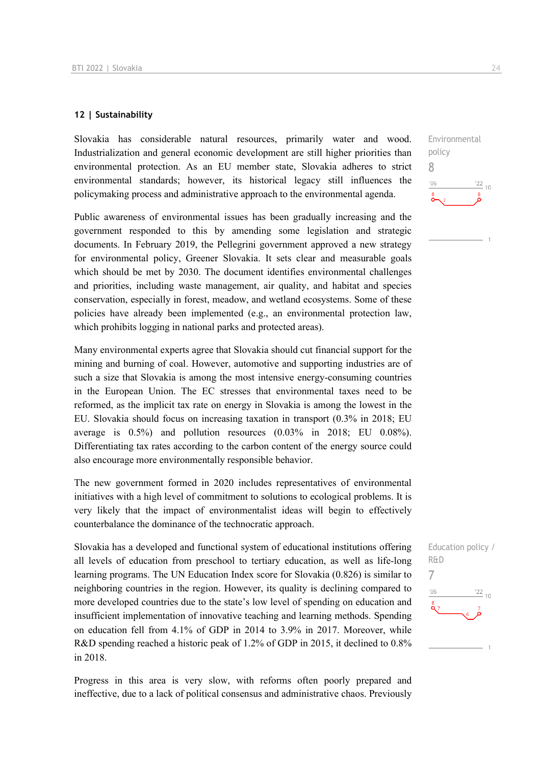#### **12 | Sustainability**

Slovakia has considerable natural resources, primarily water and wood. Industrialization and general economic development are still higher priorities than environmental protection. As an EU member state, Slovakia adheres to strict environmental standards; however, its historical legacy still influences the policymaking process and administrative approach to the environmental agenda.

Public awareness of environmental issues has been gradually increasing and the government responded to this by amending some legislation and strategic documents. In February 2019, the Pellegrini government approved a new strategy for environmental policy, Greener Slovakia. It sets clear and measurable goals which should be met by 2030. The document identifies environmental challenges and priorities, including waste management, air quality, and habitat and species conservation, especially in forest, meadow, and wetland ecosystems. Some of these policies have already been implemented (e.g., an environmental protection law, which prohibits logging in national parks and protected areas).

Many environmental experts agree that Slovakia should cut financial support for the mining and burning of coal. However, automotive and supporting industries are of such a size that Slovakia is among the most intensive energy-consuming countries in the European Union. The EC stresses that environmental taxes need to be reformed, as the implicit tax rate on energy in Slovakia is among the lowest in the EU. Slovakia should focus on increasing taxation in transport (0.3% in 2018; EU average is 0.5%) and pollution resources (0.03% in 2018; EU 0.08%). Differentiating tax rates according to the carbon content of the energy source could also encourage more environmentally responsible behavior.

The new government formed in 2020 includes representatives of environmental initiatives with a high level of commitment to solutions to ecological problems. It is very likely that the impact of environmentalist ideas will begin to effectively counterbalance the dominance of the technocratic approach.

Slovakia has a developed and functional system of educational institutions offering all levels of education from preschool to tertiary education, as well as life-long learning programs. The UN Education Index score for Slovakia (0.826) is similar to neighboring countries in the region. However, its quality is declining compared to more developed countries due to the state's low level of spending on education and insufficient implementation of innovative teaching and learning methods. Spending on education fell from 4.1% of GDP in 2014 to 3.9% in 2017. Moreover, while R&D spending reached a historic peak of 1.2% of GDP in 2015, it declined to 0.8% in 2018.

Progress in this area is very slow, with reforms often poorly prepared and ineffective, due to a lack of political consensus and administrative chaos. Previously

Environmental policy 8  $^{\prime}06$  $\frac{22}{10}$ 

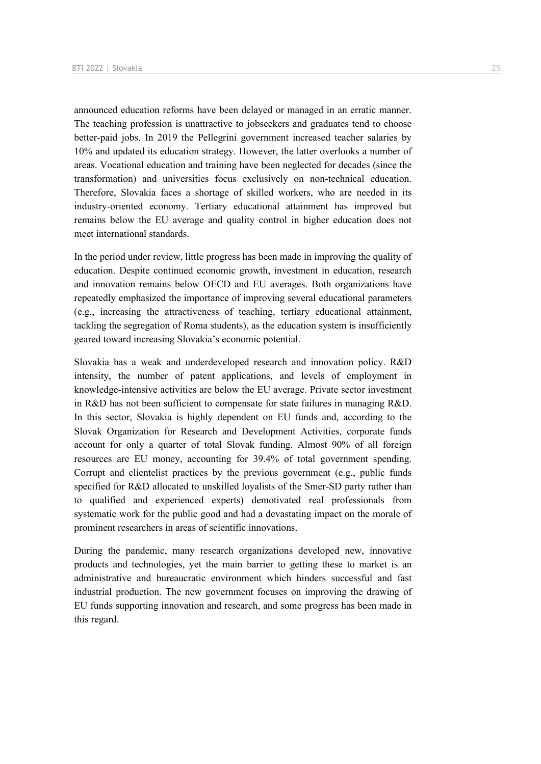announced education reforms have been delayed or managed in an erratic manner. The teaching profession is unattractive to jobseekers and graduates tend to choose better-paid jobs. In 2019 the Pellegrini government increased teacher salaries by 10% and updated its education strategy. However, the latter overlooks a number of areas. Vocational education and training have been neglected for decades (since the transformation) and universities focus exclusively on non-technical education. Therefore, Slovakia faces a shortage of skilled workers, who are needed in its industry-oriented economy. Tertiary educational attainment has improved but remains below the EU average and quality control in higher education does not meet international standards.

In the period under review, little progress has been made in improving the quality of education. Despite continued economic growth, investment in education, research and innovation remains below OECD and EU averages. Both organizations have repeatedly emphasized the importance of improving several educational parameters (e.g., increasing the attractiveness of teaching, tertiary educational attainment, tackling the segregation of Roma students), as the education system is insufficiently geared toward increasing Slovakia's economic potential.

Slovakia has a weak and underdeveloped research and innovation policy. R&D intensity, the number of patent applications, and levels of employment in knowledge-intensive activities are below the EU average. Private sector investment in R&D has not been sufficient to compensate for state failures in managing R&D. In this sector, Slovakia is highly dependent on EU funds and, according to the Slovak Organization for Research and Development Activities, corporate funds account for only a quarter of total Slovak funding. Almost 90% of all foreign resources are EU money, accounting for 39.4% of total government spending. Corrupt and clientelist practices by the previous government (e.g., public funds specified for R&D allocated to unskilled loyalists of the Smer-SD party rather than to qualified and experienced experts) demotivated real professionals from systematic work for the public good and had a devastating impact on the morale of prominent researchers in areas of scientific innovations.

During the pandemic, many research organizations developed new, innovative products and technologies, yet the main barrier to getting these to market is an administrative and bureaucratic environment which hinders successful and fast industrial production. The new government focuses on improving the drawing of EU funds supporting innovation and research, and some progress has been made in this regard.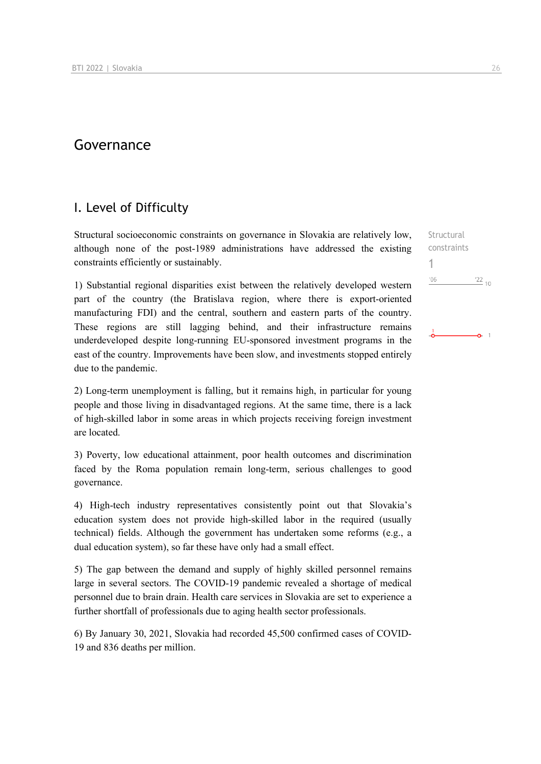## Governance

## I. Level of Difficulty

Structural socioeconomic constraints on governance in Slovakia are relatively low, although none of the post-1989 administrations have addressed the existing constraints efficiently or sustainably.

1) Substantial regional disparities exist between the relatively developed western part of the country (the Bratislava region, where there is export-oriented manufacturing FDI) and the central, southern and eastern parts of the country. These regions are still lagging behind, and their infrastructure remains underdeveloped despite long-running EU-sponsored investment programs in the east of the country. Improvements have been slow, and investments stopped entirely due to the pandemic.

2) Long-term unemployment is falling, but it remains high, in particular for young people and those living in disadvantaged regions. At the same time, there is a lack of high-skilled labor in some areas in which projects receiving foreign investment are located.

3) Poverty, low educational attainment, poor health outcomes and discrimination faced by the Roma population remain long-term, serious challenges to good governance.

4) High-tech industry representatives consistently point out that Slovakia's education system does not provide high-skilled labor in the required (usually technical) fields. Although the government has undertaken some reforms (e.g., a dual education system), so far these have only had a small effect.

5) The gap between the demand and supply of highly skilled personnel remains large in several sectors. The COVID-19 pandemic revealed a shortage of medical personnel due to brain drain. Health care services in Slovakia are set to experience a further shortfall of professionals due to aging health sector professionals.

6) By January 30, 2021, Slovakia had recorded 45,500 confirmed cases of COVID-19 and 836 deaths per million.

Structural constraints 1 $-06$  $^{22}$  10

 $-6 - 1$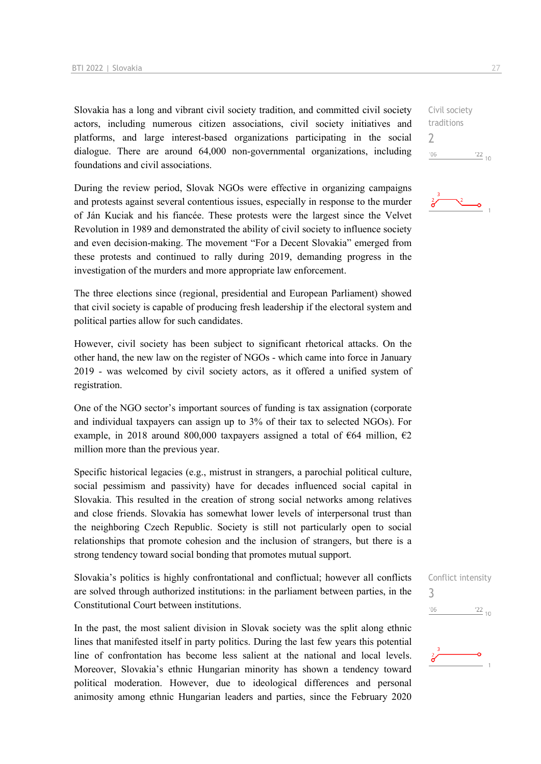Slovakia has a long and vibrant civil society tradition, and committed civil society actors, including numerous citizen associations, civil society initiatives and platforms, and large interest-based organizations participating in the social dialogue. There are around 64,000 non-governmental organizations, including foundations and civil associations.

During the review period, Slovak NGOs were effective in organizing campaigns and protests against several contentious issues, especially in response to the murder of Ján Kuciak and his fiancée. These protests were the largest since the Velvet Revolution in 1989 and demonstrated the ability of civil society to influence society and even decision-making. The movement "For a Decent Slovakia" emerged from these protests and continued to rally during 2019, demanding progress in the investigation of the murders and more appropriate law enforcement.

The three elections since (regional, presidential and European Parliament) showed that civil society is capable of producing fresh leadership if the electoral system and political parties allow for such candidates.

However, civil society has been subject to significant rhetorical attacks. On the other hand, the new law on the register of NGOs - which came into force in January 2019 - was welcomed by civil society actors, as it offered a unified system of registration.

One of the NGO sector's important sources of funding is tax assignation (corporate and individual taxpayers can assign up to 3% of their tax to selected NGOs). For example, in 2018 around 800,000 taxpayers assigned a total of  $\epsilon$ 64 million,  $\epsilon$ 2 million more than the previous year.

Specific historical legacies (e.g., mistrust in strangers, a parochial political culture, social pessimism and passivity) have for decades influenced social capital in Slovakia. This resulted in the creation of strong social networks among relatives and close friends. Slovakia has somewhat lower levels of interpersonal trust than the neighboring Czech Republic. Society is still not particularly open to social relationships that promote cohesion and the inclusion of strangers, but there is a strong tendency toward social bonding that promotes mutual support.

Slovakia's politics is highly confrontational and conflictual; however all conflicts are solved through authorized institutions: in the parliament between parties, in the Constitutional Court between institutions.

In the past, the most salient division in Slovak society was the split along ethnic lines that manifested itself in party politics. During the last few years this potential line of confrontation has become less salient at the national and local levels. Moreover, Slovakia's ethnic Hungarian minority has shown a tendency toward political moderation. However, due to ideological differences and personal animosity among ethnic Hungarian leaders and parties, since the February 2020

 $\frac{22}{10}$ 

 $\overline{\phantom{0}}$ 

۰o

|     | Conflict intensity |
|-----|--------------------|
| '06 | $\frac{22}{10}$    |
| Ą   |                    |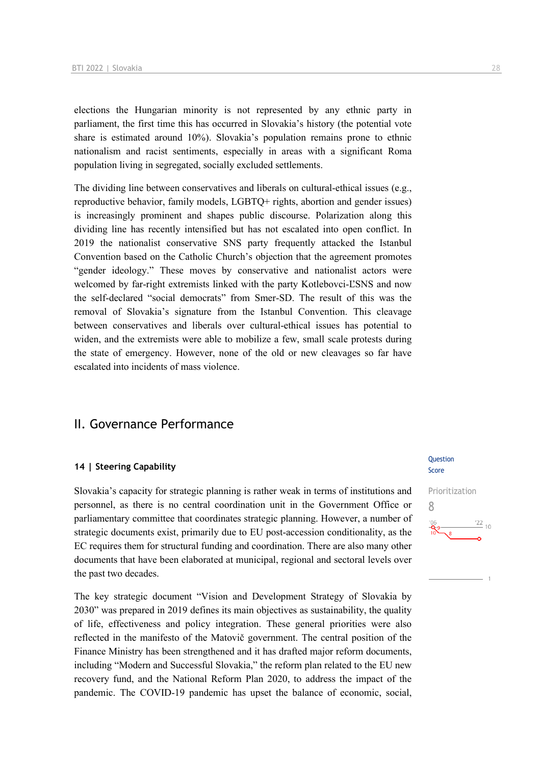elections the Hungarian minority is not represented by any ethnic party in parliament, the first time this has occurred in Slovakia's history (the potential vote share is estimated around 10%). Slovakia's population remains prone to ethnic nationalism and racist sentiments, especially in areas with a significant Roma population living in segregated, socially excluded settlements.

The dividing line between conservatives and liberals on cultural-ethical issues (e.g., reproductive behavior, family models, LGBTQ+ rights, abortion and gender issues) is increasingly prominent and shapes public discourse. Polarization along this dividing line has recently intensified but has not escalated into open conflict. In 2019 the nationalist conservative SNS party frequently attacked the Istanbul Convention based on the Catholic Church's objection that the agreement promotes "gender ideology." These moves by conservative and nationalist actors were welcomed by far-right extremists linked with the party Kotlebovci-ĽSNS and now the self-declared "social democrats" from Smer-SD. The result of this was the removal of Slovakia's signature from the Istanbul Convention. This cleavage between conservatives and liberals over cultural-ethical issues has potential to widen, and the extremists were able to mobilize a few, small scale protests during the state of emergency. However, none of the old or new cleavages so far have escalated into incidents of mass violence.

## II. Governance Performance

#### **14 | Steering Capability**

Slovakia's capacity for strategic planning is rather weak in terms of institutions and personnel, as there is no central coordination unit in the Government Office or parliamentary committee that coordinates strategic planning. However, a number of strategic documents exist, primarily due to EU post-accession conditionality, as the EC requires them for structural funding and coordination. There are also many other documents that have been elaborated at municipal, regional and sectoral levels over the past two decades.

The key strategic document "Vision and Development Strategy of Slovakia by 2030" was prepared in 2019 defines its main objectives as sustainability, the quality of life, effectiveness and policy integration. These general priorities were also reflected in the manifesto of the Matovič government. The central position of the Finance Ministry has been strengthened and it has drafted major reform documents, including "Modern and Successful Slovakia," the reform plan related to the EU new recovery fund, and the National Reform Plan 2020, to address the impact of the pandemic. The COVID-19 pandemic has upset the balance of economic, social,

#### Question Score

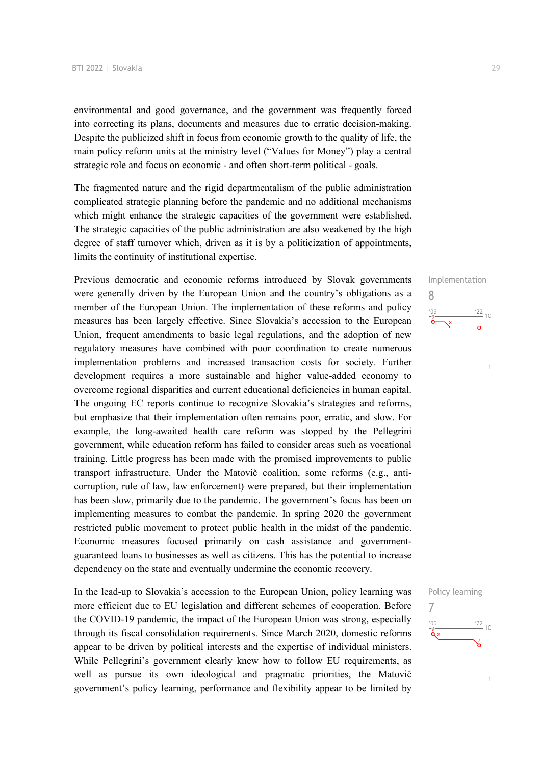environmental and good governance, and the government was frequently forced into correcting its plans, documents and measures due to erratic decision-making. Despite the publicized shift in focus from economic growth to the quality of life, the main policy reform units at the ministry level ("Values for Money") play a central strategic role and focus on economic - and often short-term political - goals.

The fragmented nature and the rigid departmentalism of the public administration complicated strategic planning before the pandemic and no additional mechanisms which might enhance the strategic capacities of the government were established. The strategic capacities of the public administration are also weakened by the high degree of staff turnover which, driven as it is by a politicization of appointments, limits the continuity of institutional expertise.

Previous democratic and economic reforms introduced by Slovak governments were generally driven by the European Union and the country's obligations as a member of the European Union. The implementation of these reforms and policy measures has been largely effective. Since Slovakia's accession to the European Union, frequent amendments to basic legal regulations, and the adoption of new regulatory measures have combined with poor coordination to create numerous implementation problems and increased transaction costs for society. Further development requires a more sustainable and higher value-added economy to overcome regional disparities and current educational deficiencies in human capital. The ongoing EC reports continue to recognize Slovakia's strategies and reforms, but emphasize that their implementation often remains poor, erratic, and slow. For example, the long-awaited health care reform was stopped by the Pellegrini government, while education reform has failed to consider areas such as vocational training. Little progress has been made with the promised improvements to public transport infrastructure. Under the Matovič coalition, some reforms (e.g., anticorruption, rule of law, law enforcement) were prepared, but their implementation has been slow, primarily due to the pandemic. The government's focus has been on implementing measures to combat the pandemic. In spring 2020 the government restricted public movement to protect public health in the midst of the pandemic. Economic measures focused primarily on cash assistance and governmentguaranteed loans to businesses as well as citizens. This has the potential to increase dependency on the state and eventually undermine the economic recovery.

In the lead-up to Slovakia's accession to the European Union, policy learning was more efficient due to EU legislation and different schemes of cooperation. Before the COVID-19 pandemic, the impact of the European Union was strong, especially through its fiscal consolidation requirements. Since March 2020, domestic reforms appear to be driven by political interests and the expertise of individual ministers. While Pellegrini's government clearly knew how to follow EU requirements, as well as pursue its own ideological and pragmatic priorities, the Matovič government's policy learning, performance and flexibility appear to be limited by



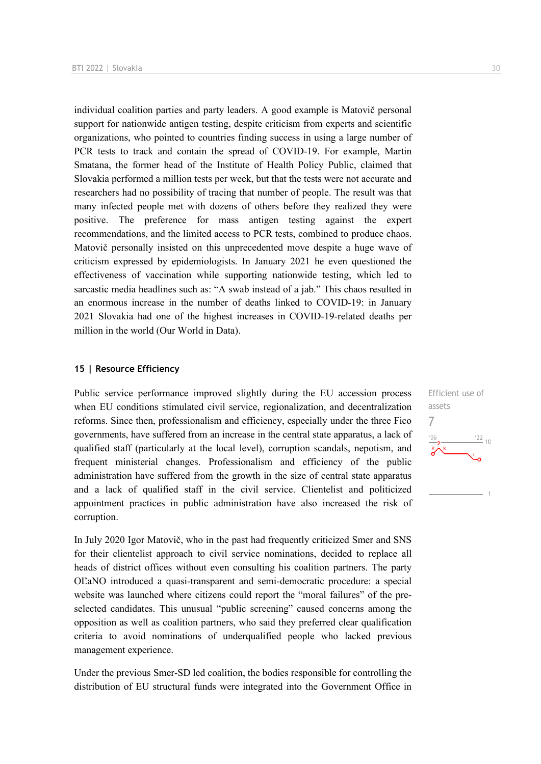individual coalition parties and party leaders. A good example is Matovič personal support for nationwide antigen testing, despite criticism from experts and scientific organizations, who pointed to countries finding success in using a large number of PCR tests to track and contain the spread of COVID-19. For example, Martin Smatana, the former head of the Institute of Health Policy Public, claimed that Slovakia performed a million tests per week, but that the tests were not accurate and researchers had no possibility of tracing that number of people. The result was that many infected people met with dozens of others before they realized they were positive. The preference for mass antigen testing against the expert recommendations, and the limited access to PCR tests, combined to produce chaos. Matovič personally insisted on this unprecedented move despite a huge wave of criticism expressed by epidemiologists. In January 2021 he even questioned the effectiveness of vaccination while supporting nationwide testing, which led to sarcastic media headlines such as: "A swab instead of a jab." This chaos resulted in an enormous increase in the number of deaths linked to COVID-19: in January 2021 Slovakia had one of the highest increases in COVID-19-related deaths per million in the world (Our World in Data).

#### **15 | Resource Efficiency**

Public service performance improved slightly during the EU accession process when EU conditions stimulated civil service, regionalization, and decentralization reforms. Since then, professionalism and efficiency, especially under the three Fico governments, have suffered from an increase in the central state apparatus, a lack of qualified staff (particularly at the local level), corruption scandals, nepotism, and frequent ministerial changes. Professionalism and efficiency of the public administration have suffered from the growth in the size of central state apparatus and a lack of qualified staff in the civil service. Clientelist and politicized appointment practices in public administration have also increased the risk of corruption.

In July 2020 Igor Matovič, who in the past had frequently criticized Smer and SNS for their clientelist approach to civil service nominations, decided to replace all heads of district offices without even consulting his coalition partners. The party OĽaNO introduced a quasi-transparent and semi-democratic procedure: a special website was launched where citizens could report the "moral failures" of the preselected candidates. This unusual "public screening" caused concerns among the opposition as well as coalition partners, who said they preferred clear qualification criteria to avoid nominations of underqualified people who lacked previous management experience.

Under the previous Smer-SD led coalition, the bodies responsible for controlling the distribution of EU structural funds were integrated into the Government Office in Efficient use of assets 7 $\frac{22}{10}$  $'06$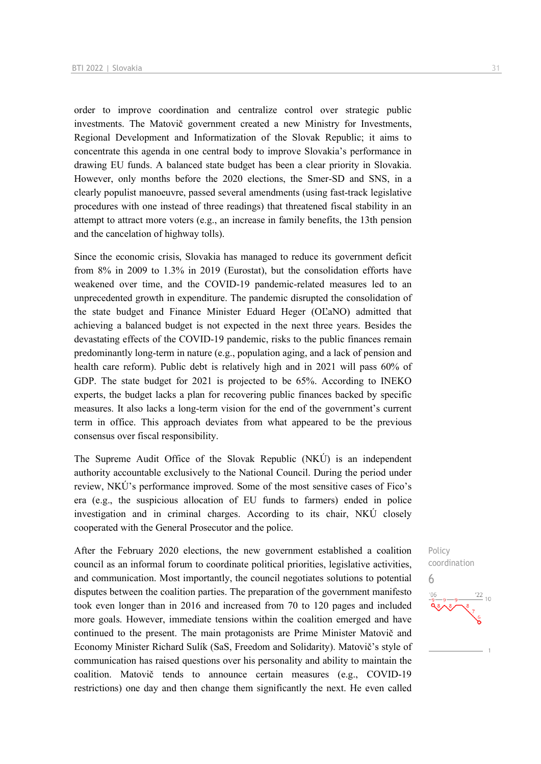order to improve coordination and centralize control over strategic public investments. The Matovič government created a new Ministry for Investments, Regional Development and Informatization of the Slovak Republic; it aims to concentrate this agenda in one central body to improve Slovakia's performance in drawing EU funds. A balanced state budget has been a clear priority in Slovakia. However, only months before the 2020 elections, the Smer-SD and SNS, in a clearly populist manoeuvre, passed several amendments (using fast-track legislative procedures with one instead of three readings) that threatened fiscal stability in an attempt to attract more voters (e.g., an increase in family benefits, the 13th pension and the cancelation of highway tolls).

Since the economic crisis, Slovakia has managed to reduce its government deficit from 8% in 2009 to 1.3% in 2019 (Eurostat), but the consolidation efforts have weakened over time, and the COVID-19 pandemic-related measures led to an unprecedented growth in expenditure. The pandemic disrupted the consolidation of the state budget and Finance Minister Eduard Heger (OĽaNO) admitted that achieving a balanced budget is not expected in the next three years. Besides the devastating effects of the COVID-19 pandemic, risks to the public finances remain predominantly long-term in nature (e.g., population aging, and a lack of pension and health care reform). Public debt is relatively high and in 2021 will pass 60% of GDP. The state budget for 2021 is projected to be 65%. According to INEKO experts, the budget lacks a plan for recovering public finances backed by specific measures. It also lacks a long-term vision for the end of the government's current term in office. This approach deviates from what appeared to be the previous consensus over fiscal responsibility.

The Supreme Audit Office of the Slovak Republic (NKÚ) is an independent authority accountable exclusively to the National Council. During the period under review, NKÚ's performance improved. Some of the most sensitive cases of Fico's era (e.g., the suspicious allocation of EU funds to farmers) ended in police investigation and in criminal charges. According to its chair, NKÚ closely cooperated with the General Prosecutor and the police.

After the February 2020 elections, the new government established a coalition council as an informal forum to coordinate political priorities, legislative activities, and communication. Most importantly, the council negotiates solutions to potential disputes between the coalition parties. The preparation of the government manifesto took even longer than in 2016 and increased from 70 to 120 pages and included more goals. However, immediate tensions within the coalition emerged and have continued to the present. The main protagonists are Prime Minister Matovič and Economy Minister Richard Sulík (SaS, Freedom and Solidarity). Matovič's style of communication has raised questions over his personality and ability to maintain the coalition. Matovič tends to announce certain measures (e.g., COVID-19 restrictions) one day and then change them significantly the next. He even called

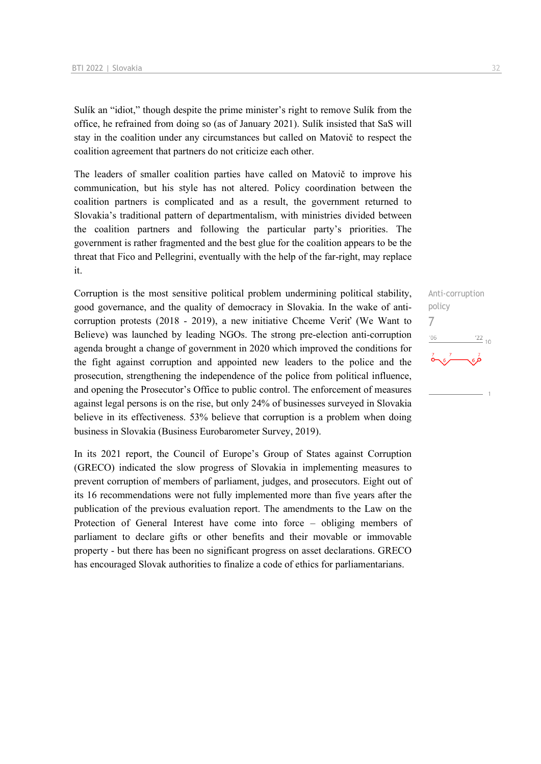Sulík an "idiot," though despite the prime minister's right to remove Sulík from the office, he refrained from doing so (as of January 2021). Sulík insisted that SaS will stay in the coalition under any circumstances but called on Matovič to respect the coalition agreement that partners do not criticize each other.

The leaders of smaller coalition parties have called on Matovič to improve his communication, but his style has not altered. Policy coordination between the coalition partners is complicated and as a result, the government returned to Slovakia's traditional pattern of departmentalism, with ministries divided between the coalition partners and following the particular party's priorities. The government is rather fragmented and the best glue for the coalition appears to be the threat that Fico and Pellegrini, eventually with the help of the far-right, may replace it.

Corruption is the most sensitive political problem undermining political stability, good governance, and the quality of democracy in Slovakia. In the wake of anticorruption protests (2018 - 2019), a new initiative Chceme Veriť (We Want to Believe) was launched by leading NGOs. The strong pre-election anti-corruption agenda brought a change of government in 2020 which improved the conditions for the fight against corruption and appointed new leaders to the police and the prosecution, strengthening the independence of the police from political influence, and opening the Prosecutor's Office to public control. The enforcement of measures against legal persons is on the rise, but only 24% of businesses surveyed in Slovakia believe in its effectiveness. 53% believe that corruption is a problem when doing business in Slovakia (Business Eurobarometer Survey, 2019).

In its 2021 report, the Council of Europe's Group of States against Corruption (GRECO) indicated the slow progress of Slovakia in implementing measures to prevent corruption of members of parliament, judges, and prosecutors. Eight out of its 16 recommendations were not fully implemented more than five years after the publication of the previous evaluation report. The amendments to the Law on the Protection of General Interest have come into force – obliging members of parliament to declare gifts or other benefits and their movable or immovable property - but there has been no significant progress on asset declarations. GRECO has encouraged Slovak authorities to finalize a code of ethics for parliamentarians.

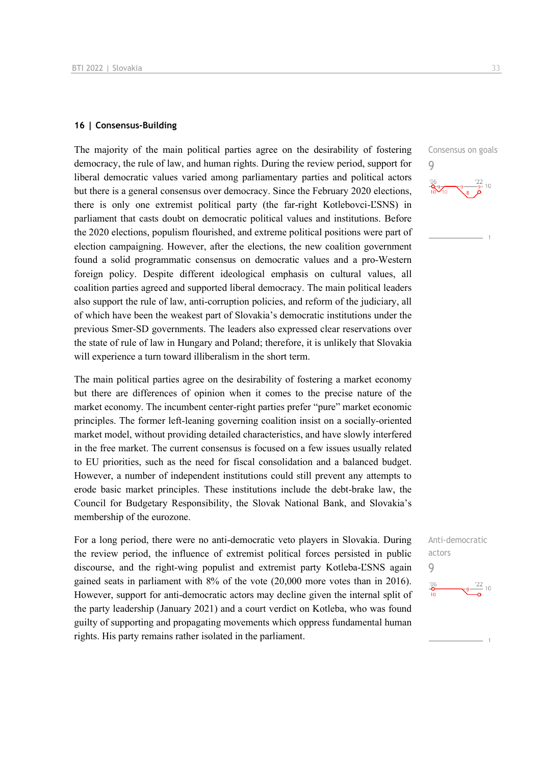#### **16 | Consensus-Building**

The majority of the main political parties agree on the desirability of fostering democracy, the rule of law, and human rights. During the review period, support for liberal democratic values varied among parliamentary parties and political actors but there is a general consensus over democracy. Since the February 2020 elections, there is only one extremist political party (the far-right Kotlebovci-ĽSNS) in parliament that casts doubt on democratic political values and institutions. Before the 2020 elections, populism flourished, and extreme political positions were part of election campaigning. However, after the elections, the new coalition government found a solid programmatic consensus on democratic values and a pro-Western foreign policy. Despite different ideological emphasis on cultural values, all coalition parties agreed and supported liberal democracy. The main political leaders also support the rule of law, anti-corruption policies, and reform of the judiciary, all of which have been the weakest part of Slovakia's democratic institutions under the previous Smer-SD governments. The leaders also expressed clear reservations over the state of rule of law in Hungary and Poland; therefore, it is unlikely that Slovakia will experience a turn toward illiberalism in the short term.

The main political parties agree on the desirability of fostering a market economy but there are differences of opinion when it comes to the precise nature of the market economy. The incumbent center-right parties prefer "pure" market economic principles. The former left-leaning governing coalition insist on a socially-oriented market model, without providing detailed characteristics, and have slowly interfered in the free market. The current consensus is focused on a few issues usually related to EU priorities, such as the need for fiscal consolidation and a balanced budget. However, a number of independent institutions could still prevent any attempts to erode basic market principles. These institutions include the debt-brake law, the Council for Budgetary Responsibility, the Slovak National Bank, and Slovakia's membership of the eurozone.

For a long period, there were no anti-democratic veto players in Slovakia. During the review period, the influence of extremist political forces persisted in public discourse, and the right-wing populist and extremist party Kotleba-ĽSNS again gained seats in parliament with 8% of the vote (20,000 more votes than in 2016). However, support for anti-democratic actors may decline given the internal split of the party leadership (January 2021) and a court verdict on Kotleba, who was found guilty of supporting and propagating movements which oppress fundamental human rights. His party remains rather isolated in the parliament.

Consensus on goals  $\overline{Q}$ 



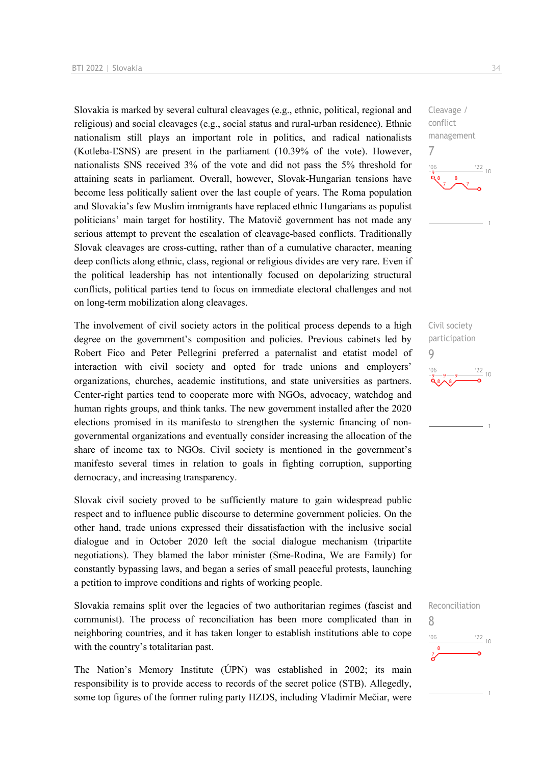Slovakia is marked by several cultural cleavages (e.g., ethnic, political, regional and religious) and social cleavages (e.g., social status and rural-urban residence). Ethnic nationalism still plays an important role in politics, and radical nationalists (Kotleba-ĽSNS) are present in the parliament (10.39% of the vote). However, nationalists SNS received 3% of the vote and did not pass the 5% threshold for attaining seats in parliament. Overall, however, Slovak-Hungarian tensions have become less politically salient over the last couple of years. The Roma population and Slovakia's few Muslim immigrants have replaced ethnic Hungarians as populist politicians' main target for hostility. The Matovič government has not made any serious attempt to prevent the escalation of cleavage-based conflicts. Traditionally Slovak cleavages are cross-cutting, rather than of a cumulative character, meaning deep conflicts along ethnic, class, regional or religious divides are very rare. Even if the political leadership has not intentionally focused on depolarizing structural conflicts, political parties tend to focus on immediate electoral challenges and not on long-term mobilization along cleavages.

The involvement of civil society actors in the political process depends to a high degree on the government's composition and policies. Previous cabinets led by Robert Fico and Peter Pellegrini preferred a paternalist and etatist model of interaction with civil society and opted for trade unions and employers' organizations, churches, academic institutions, and state universities as partners. Center-right parties tend to cooperate more with NGOs, advocacy, watchdog and human rights groups, and think tanks. The new government installed after the 2020 elections promised in its manifesto to strengthen the systemic financing of nongovernmental organizations and eventually consider increasing the allocation of the share of income tax to NGOs. Civil society is mentioned in the government's manifesto several times in relation to goals in fighting corruption, supporting democracy, and increasing transparency.

Slovak civil society proved to be sufficiently mature to gain widespread public respect and to influence public discourse to determine government policies. On the other hand, trade unions expressed their dissatisfaction with the inclusive social dialogue and in October 2020 left the social dialogue mechanism (tripartite negotiations). They blamed the labor minister (Sme-Rodina, We are Family) for constantly bypassing laws, and began a series of small peaceful protests, launching a petition to improve conditions and rights of working people.

Slovakia remains split over the legacies of two authoritarian regimes (fascist and communist). The process of reconciliation has been more complicated than in neighboring countries, and it has taken longer to establish institutions able to cope with the country's totalitarian past.

The Nation's Memory Institute (ÚPN) was established in 2002; its main responsibility is to provide access to records of the secret police (STB). Allegedly, some top figures of the former ruling party HZDS, including Vladimír Mečiar, were



Civil society participation 9  $\frac{22}{10}$ 



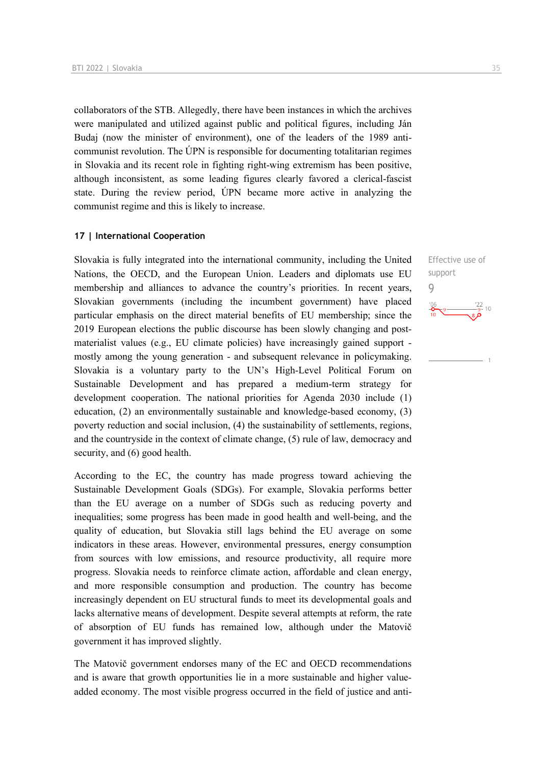collaborators of the STB. Allegedly, there have been instances in which the archives were manipulated and utilized against public and political figures, including Ján Budaj (now the minister of environment), one of the leaders of the 1989 anticommunist revolution. The ÚPN is responsible for documenting totalitarian regimes in Slovakia and its recent role in fighting right-wing extremism has been positive, although inconsistent, as some leading figures clearly favored a clerical-fascist state. During the review period, ÚPN became more active in analyzing the communist regime and this is likely to increase.

#### **17 | International Cooperation**

Slovakia is fully integrated into the international community, including the United Nations, the OECD, and the European Union. Leaders and diplomats use EU membership and alliances to advance the country's priorities. In recent years, Slovakian governments (including the incumbent government) have placed particular emphasis on the direct material benefits of EU membership; since the 2019 European elections the public discourse has been slowly changing and postmaterialist values (e.g., EU climate policies) have increasingly gained support mostly among the young generation - and subsequent relevance in policymaking. Slovakia is a voluntary party to the UN's High-Level Political Forum on Sustainable Development and has prepared a medium-term strategy for development cooperation. The national priorities for Agenda 2030 include (1) education, (2) an environmentally sustainable and knowledge-based economy, (3) poverty reduction and social inclusion, (4) the sustainability of settlements, regions, and the countryside in the context of climate change, (5) rule of law, democracy and security, and (6) good health.

According to the EC, the country has made progress toward achieving the Sustainable Development Goals (SDGs). For example, Slovakia performs better than the EU average on a number of SDGs such as reducing poverty and inequalities; some progress has been made in good health and well-being, and the quality of education, but Slovakia still lags behind the EU average on some indicators in these areas. However, environmental pressures, energy consumption from sources with low emissions, and resource productivity, all require more progress. Slovakia needs to reinforce climate action, affordable and clean energy, and more responsible consumption and production. The country has become increasingly dependent on EU structural funds to meet its developmental goals and lacks alternative means of development. Despite several attempts at reform, the rate of absorption of EU funds has remained low, although under the Matovič government it has improved slightly.

The Matovič government endorses many of the EC and OECD recommendations and is aware that growth opportunities lie in a more sustainable and higher valueadded economy. The most visible progress occurred in the field of justice and anti-

Effective use of support 9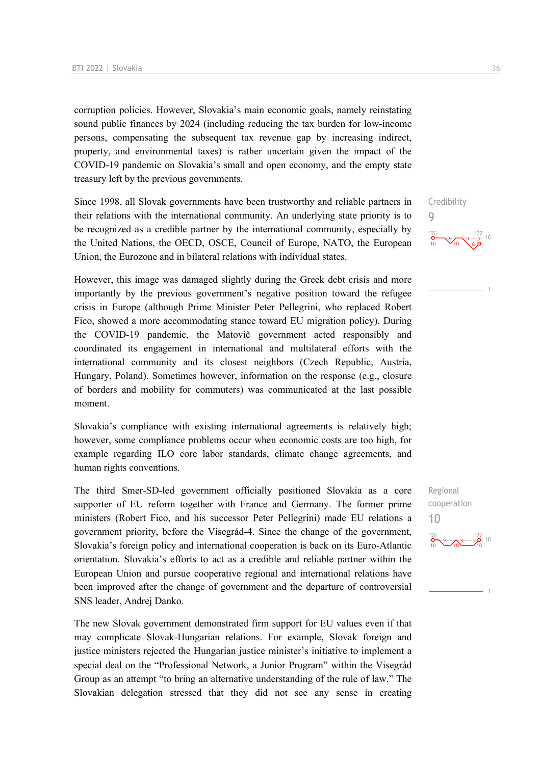corruption policies. However, Slovakia's main economic goals, namely reinstating sound public finances by 2024 (including reducing the tax burden for low-income persons, compensating the subsequent tax revenue gap by increasing indirect, property, and environmental taxes) is rather uncertain given the impact of the COVID-19 pandemic on Slovakia's small and open economy, and the empty state treasury left by the previous governments.

Since 1998, all Slovak governments have been trustworthy and reliable partners in their relations with the international community. An underlying state priority is to be recognized as a credible partner by the international community, especially by the United Nations, the OECD, OSCE, Council of Europe, NATO, the European Union, the Eurozone and in bilateral relations with individual states.

However, this image was damaged slightly during the Greek debt crisis and more importantly by the previous government's negative position toward the refugee crisis in Europe (although Prime Minister Peter Pellegrini, who replaced Robert Fico, showed a more accommodating stance toward EU migration policy). During the COVID-19 pandemic, the Matovič government acted responsibly and coordinated its engagement in international and multilateral efforts with the international community and its closest neighbors (Czech Republic, Austria, Hungary, Poland). Sometimes however, information on the response (e.g., closure of borders and mobility for commuters) was communicated at the last possible moment.

Slovakia's compliance with existing international agreements is relatively high; however, some compliance problems occur when economic costs are too high, for example regarding ILO core labor standards, climate change agreements, and human rights conventions.

The third Smer-SD-led government officially positioned Slovakia as a core supporter of EU reform together with France and Germany. The former prime ministers (Robert Fico, and his successor Peter Pellegrini) made EU relations a government priority, before the Visegrád-4. Since the change of the government, Slovakia's foreign policy and international cooperation is back on its Euro-Atlantic orientation. Slovakia's efforts to act as a credible and reliable partner within the European Union and pursue cooperative regional and international relations have been improved after the change of government and the departure of controversial SNS leader, Andrej Danko.

The new Slovak government demonstrated firm support for EU values even if that may complicate Slovak-Hungarian relations. For example, Slovak foreign and justice ministers rejected the Hungarian justice minister's initiative to implement a special deal on the "Professional Network, a Junior Program" within the Visegrád Group as an attempt "to bring an alternative understanding of the rule of law." The Slovakian delegation stressed that they did not see any sense in creating Credibility  $\overline{Q}$ 



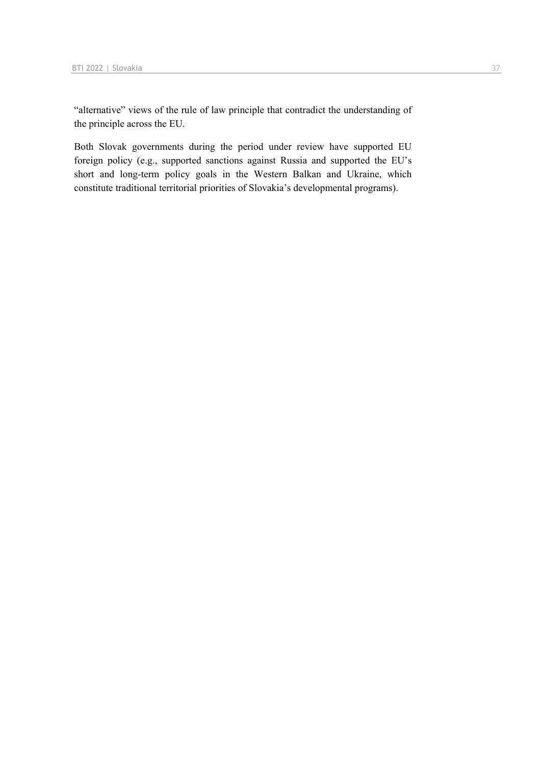"alternative" views of the rule of law principle that contradict the understanding of the principle across the EU.

Both Slovak governments during the period under review have supported EU foreign policy (e.g., supported sanctions against Russia and supported the EU's short and long-term policy goals in the Western Balkan and Ukraine, which constitute traditional territorial priorities of Slovakia's developmental programs).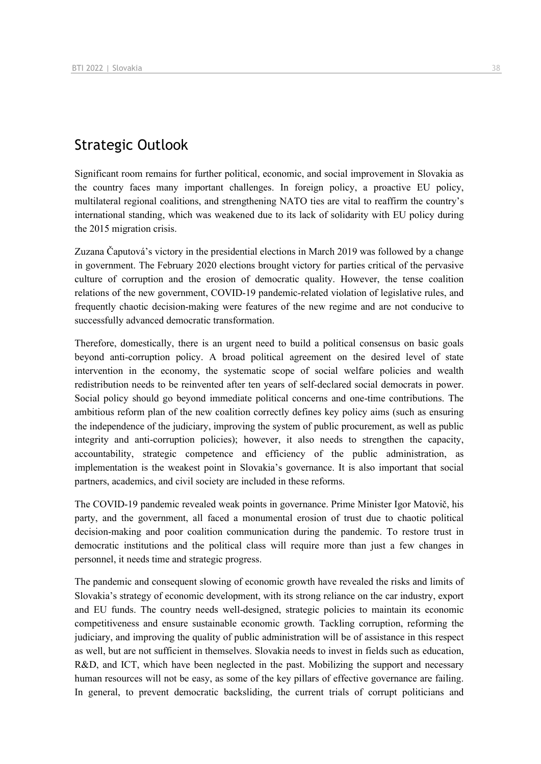## Strategic Outlook

Significant room remains for further political, economic, and social improvement in Slovakia as the country faces many important challenges. In foreign policy, a proactive EU policy, multilateral regional coalitions, and strengthening NATO ties are vital to reaffirm the country's international standing, which was weakened due to its lack of solidarity with EU policy during the 2015 migration crisis.

Zuzana Čaputová's victory in the presidential elections in March 2019 was followed by a change in government. The February 2020 elections brought victory for parties critical of the pervasive culture of corruption and the erosion of democratic quality. However, the tense coalition relations of the new government, COVID-19 pandemic-related violation of legislative rules, and frequently chaotic decision-making were features of the new regime and are not conducive to successfully advanced democratic transformation.

Therefore, domestically, there is an urgent need to build a political consensus on basic goals beyond anti-corruption policy. A broad political agreement on the desired level of state intervention in the economy, the systematic scope of social welfare policies and wealth redistribution needs to be reinvented after ten years of self-declared social democrats in power. Social policy should go beyond immediate political concerns and one-time contributions. The ambitious reform plan of the new coalition correctly defines key policy aims (such as ensuring the independence of the judiciary, improving the system of public procurement, as well as public integrity and anti-corruption policies); however, it also needs to strengthen the capacity, accountability, strategic competence and efficiency of the public administration, as implementation is the weakest point in Slovakia's governance. It is also important that social partners, academics, and civil society are included in these reforms.

The COVID-19 pandemic revealed weak points in governance. Prime Minister Igor Matovič, his party, and the government, all faced a monumental erosion of trust due to chaotic political decision-making and poor coalition communication during the pandemic. To restore trust in democratic institutions and the political class will require more than just a few changes in personnel, it needs time and strategic progress.

The pandemic and consequent slowing of economic growth have revealed the risks and limits of Slovakia's strategy of economic development, with its strong reliance on the car industry, export and EU funds. The country needs well-designed, strategic policies to maintain its economic competitiveness and ensure sustainable economic growth. Tackling corruption, reforming the judiciary, and improving the quality of public administration will be of assistance in this respect as well, but are not sufficient in themselves. Slovakia needs to invest in fields such as education, R&D, and ICT, which have been neglected in the past. Mobilizing the support and necessary human resources will not be easy, as some of the key pillars of effective governance are failing. In general, to prevent democratic backsliding, the current trials of corrupt politicians and